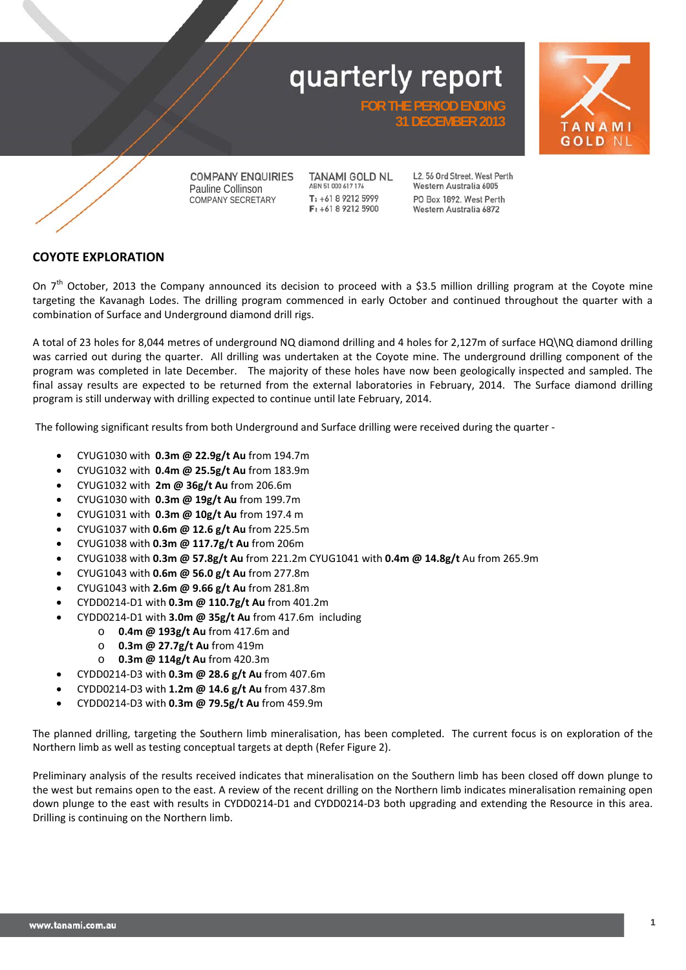**FOR THE PERIOD ENDING** 

**31 DECEMBER 2013** 





**COMPANY ENQUIRIES** Pauline Collinson COMPANY SECRETARY

 **1998 1999 1999 1999 1999 1999 1999 1999 1999 1999 1999 1999** 

**TANAMI GOLD NL** ABN 51 000 617 176 T: +61 8 9212 5999  $F_1 + 61892125900$ 

L2, 56 Ord Street, West Perth Western Australia 6005 PO Box 1892 West Perth Western Australia 6872

### **COYOTE EXPLORATION**

On  $7<sup>th</sup>$  October, 2013 the Company announced its decision to proceed with a \$3.5 million drilling program at the Coyote mine targeting the Kavanagh Lodes. The drilling program commenced in early October and continued throughout the quarter with a combination of Surface and Underground diamond drill rigs.

A total of 23 holes for 8,044 metres of underground NQ diamond drilling and 4 holes for 2,127m of surface HQ\NQ diamond drilling was carried out during the quarter. All drilling was undertaken at the Coyote mine. The underground drilling component of the program was completed in late December. The majority of these holes have now been geologically inspected and sampled. The final assay results are expected to be returned from the external laboratories in February, 2014. The Surface diamond drilling program is still underway with drilling expected to continue until late February, 2014.

The following significant results from both Underground and Surface drilling were received during the quarter ‐

- CYUG1030 with **0.3m @ 22.9g/t Au** from 194.7m
- CYUG1032 with **0.4m @ 25.5g/t Au** from 183.9m
- CYUG1032 with **2m @ 36g/t Au** from 206.6m
- CYUG1030 with **0.3m @ 19g/t Au** from 199.7m
- CYUG1031 with **0.3m @ 10g/t Au** from 197.4 m
- CYUG1037 with **0.6m @ 12.6 g/t Au** from 225.5m
- CYUG1038 with **0.3m @ 117.7g/t Au** from 206m
- CYUG1038 with **0.3m @ 57.8g/t Au** from 221.2m CYUG1041 with **0.4m @ 14.8g/t** Au from 265.9m
- CYUG1043 with **0.6m @ 56.0 g/t Au** from 277.8m
- CYUG1043 with **2.6m @ 9.66 g/t Au** from 281.8m
- CYDD0214‐D1 with **0.3m @ 110.7g/t Au** from 401.2m
- CYDD0214‐D1 with **3.0m @ 35g/t Au** from 417.6m including
	- o **0.4m @ 193g/t Au** from 417.6m and
	- o **0.3m @ 27.7g/t Au** from 419m
	- o **0.3m @ 114g/t Au** from 420.3m
- CYDD0214‐D3 with **0.3m @ 28.6 g/t Au** from 407.6m
- CYDD0214‐D3 with **1.2m @ 14.6 g/t Au** from 437.8m
- CYDD0214‐D3 with **0.3m @ 79.5g/t Au** from 459.9m

The planned drilling, targeting the Southern limb mineralisation, has been completed. The current focus is on exploration of the Northern limb as well as testing conceptual targets at depth (Refer Figure 2).

Preliminary analysis of the results received indicates that mineralisation on the Southern limb has been closed off down plunge to the west but remains open to the east. A review of the recent drilling on the Northern limb indicates mineralisation remaining open down plunge to the east with results in CYDD0214‐D1 and CYDD0214‐D3 both upgrading and extending the Resource in this area. Drilling is continuing on the Northern limb.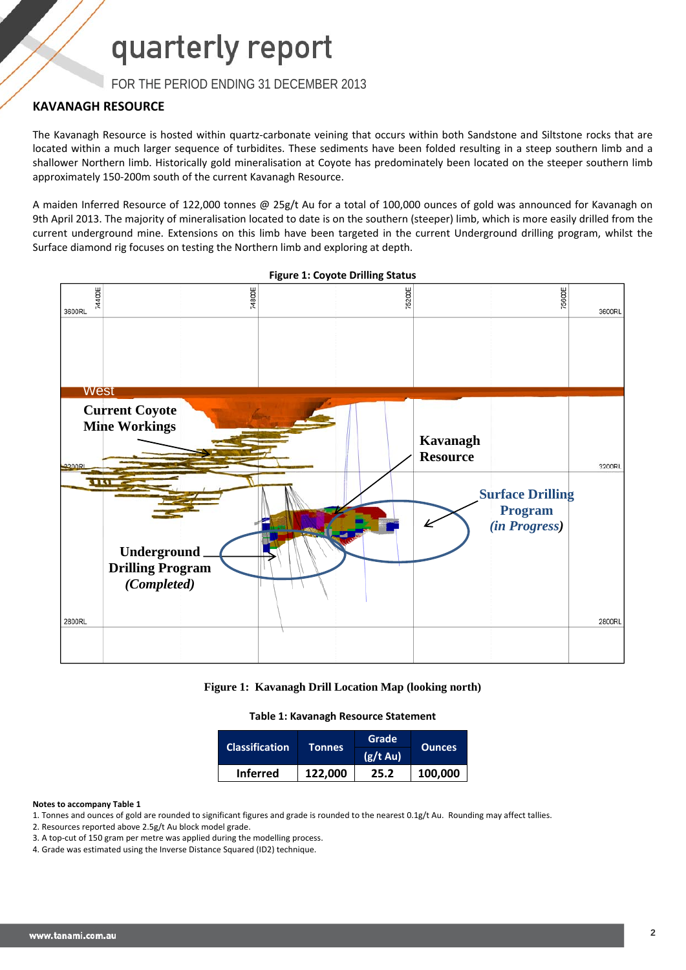FOR THE PERIOD ENDING 31 DECEMBER 2013

### **KAVANAGH RESOURCE**

The Kavanagh Resource is hosted within quartz-carbonate veining that occurs within both Sandstone and Siltstone rocks that are located within a much larger sequence of turbidites. These sediments have been folded resulting in a steep southern limb and a shallower Northern limb. Historically gold mineralisation at Coyote has predominately been located on the steeper southern limb approximately 150‐200m south of the current Kavanagh Resource.

A maiden Inferred Resource of 122,000 tonnes @ 25g/t Au for a total of 100,000 ounces of gold was announced for Kavanagh on 9th April 2013. The majority of mineralisation located to date is on the southern (steeper) limb, which is more easily drilled from the current underground mine. Extensions on this limb have been targeted in the current Underground drilling program, whilst the Surface diamond rig focuses on testing the Northern limb and exploring at depth.



**Figure 1: Coyote Drilling Status**



**Table 1: Kavanagh Resource Statement**

| <b>Classification</b> |                 | Grade         |               |  |
|-----------------------|-----------------|---------------|---------------|--|
|                       | <b>Tonnes</b> ' | $(g/t \, Au)$ | <b>Ounces</b> |  |
| <b>Inferred</b>       | 122,000         | 25.2          | 100,000       |  |

#### **Notes to accompany Table 1**

- 1. Tonnes and ounces of gold are rounded to significant figures and grade is rounded to the nearest 0.1g/t Au. Rounding may affect tallies.
- 2. Resources reported above 2.5g/t Au block model grade.
- 3. A top-cut of 150 gram per metre was applied during the modelling process.
- 4. Grade was estimated using the Inverse Distance Squared (ID2) technique.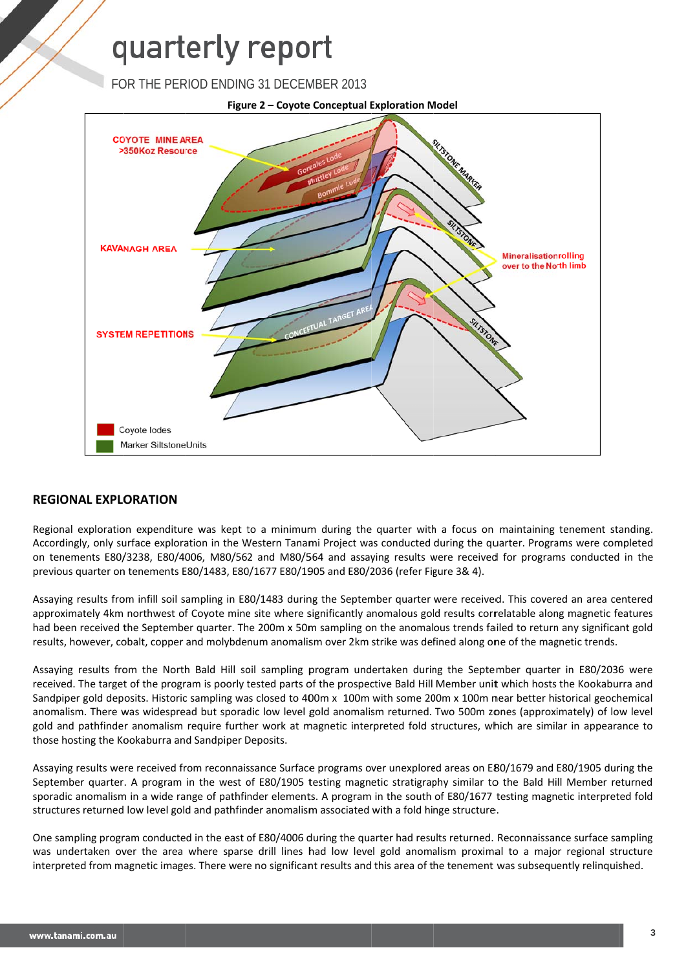FOR THE PERIOD ENDING 31 DECEMBER 2013



### **REGIONAL EXPLORATION**

Regional exploration expenditure was kept to a minimum during the quarter with a focus on maintaining tenement standing. Accordingly, only surface exploration in the Western Tanami Project was conducted during the quarter. Programs were completed on tenements E80/3238, E80/4006, M80/562 and M80/564 and assaying results were received for programs conducted in the previous quarter on tenements E80/1483, E80/1677 E80/1905 and E80/2036 (refer Figure 3& 4).

Assaying results from infill soil sampling in E80/1483 during the September quarter were received. This covered an area centered approximately 4km northwest of Coyote mine site where significantly anomalous gold results correlatable along magnetic features had been received the September quarter. The 200m x 50m sampling on the anomalous trends failed to return any significant gold results, however, cobalt, copper and molybdenum anomalism over 2km strike was defined along one of the magnetic trends.

Assaying results from the North Bald Hill soil sampling program undertaken during the September quarter in E80/2036 were received. The target of the program is poorly tested parts of the prospective Bald Hill Member unit which hosts the Kookaburra and Sandpiper gold deposits. Historic sampling was closed to 400m x 100m with some 200m x 100m near better historical geochemical anomalism. There was widespread but sporadic low level gold anomalism returned. Two 500m zones (approximately) of low level gold and pathfinder anomalism require further work at magnetic interpreted fold structures, which are similar in appearance to those hosting the Kookaburra and Sandpiper Deposits.

Assaying results were received from reconnaissance Surface programs over unexplored areas on E80/1679 and E80/1905 during the September quarter. A program in the west of E80/1905 testing magnetic stratigraphy similar to the Bald Hill Member returned sporadic anomalism in a wide range of pathfinder elements. A program in the south of E80/1677 testing magnetic interpreted fold structures returned low level gold and pathfinder anomalism associated with a fold hinge structure.

One sampling program conducted in the east of E80/4006 during the quarter had results returned. Reconnaissance surface sampling was undertaken over the area where sparse drill lines had low level gold anomalism proximal to a major regional structure interpreted from magnetic images. There were no significant results and this area of the tenement was subsequently relinquished.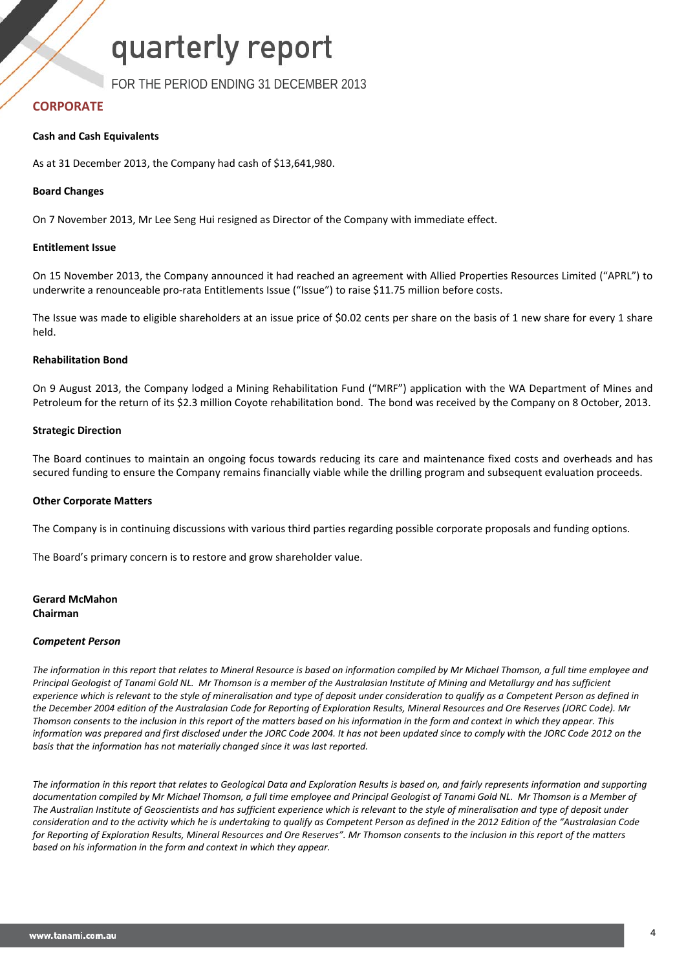FOR THE PERIOD ENDING 31 DECEMBER 2013

### **CORPORATE**

#### **Cash and Cash Equivalents**

As at 31 December 2013, the Company had cash of \$13,641,980.

#### **Board Changes**

On 7 November 2013, Mr Lee Seng Hui resigned as Director of the Company with immediate effect.

#### **Entitlement Issue**

On 15 November 2013, the Company announced it had reached an agreement with Allied Properties Resources Limited ("APRL") to underwrite a renounceable pro-rata Entitlements Issue ("Issue") to raise \$11.75 million before costs.

The Issue was made to eligible shareholders at an issue price of \$0.02 cents per share on the basis of 1 new share for every 1 share held.

#### **Rehabilitation Bond**

On 9 August 2013, the Company lodged a Mining Rehabilitation Fund ("MRF") application with the WA Department of Mines and Petroleum for the return of its \$2.3 million Coyote rehabilitation bond. The bond was received by the Company on 8 October, 2013.

#### **Strategic Direction**

The Board continues to maintain an ongoing focus towards reducing its care and maintenance fixed costs and overheads and has secured funding to ensure the Company remains financially viable while the drilling program and subsequent evaluation proceeds.

#### **Other Corporate Matters**

The Company is in continuing discussions with various third parties regarding possible corporate proposals and funding options.

The Board's primary concern is to restore and grow shareholder value.

#### **Gerard McMahon Chairman**

#### *Competent Person*

The information in this report that relates to Mineral Resource is based on information compiled by Mr Michael Thomson, a full time employee and Principal Geologist of Tanami Gold NL. Mr Thomson is a member of the Australasian Institute of Mining and Metallurgy and has sufficient experience which is relevant to the style of mineralisation and type of deposit under consideration to qualify as a Competent Person as defined in the December 2004 edition of the Australasian Code for Reporting of Exploration Results, Mineral Resources and Ore Reserves (JORC Code). Mr Thomson consents to the inclusion in this report of the matters based on his information in the form and context in which they appear. This information was prepared and first disclosed under the JORC Code 2004. It has not been updated since to comply with the JORC Code 2012 on the *basis that the information has not materially changed since it was last reported.*

The information in this report that relates to Geological Data and Exploration Results is based on, and fairly represents information and supporting documentation compiled by Mr Michael Thomson, a full time employee and Principal Geologist of Tanami Gold NL. Mr Thomson is a Member of The Australian Institute of Geoscientists and has sufficient experience which is relevant to the style of mineralisation and type of deposit under consideration and to the activity which he is undertaking to qualify as Competent Person as defined in the 2012 Edition of the "Australasian Code for Reporting of Exploration Results, Mineral Resources and Ore Reserves". Mr Thomson consents to the inclusion in this report of the matters *based on his information in the form and context in which they appear.*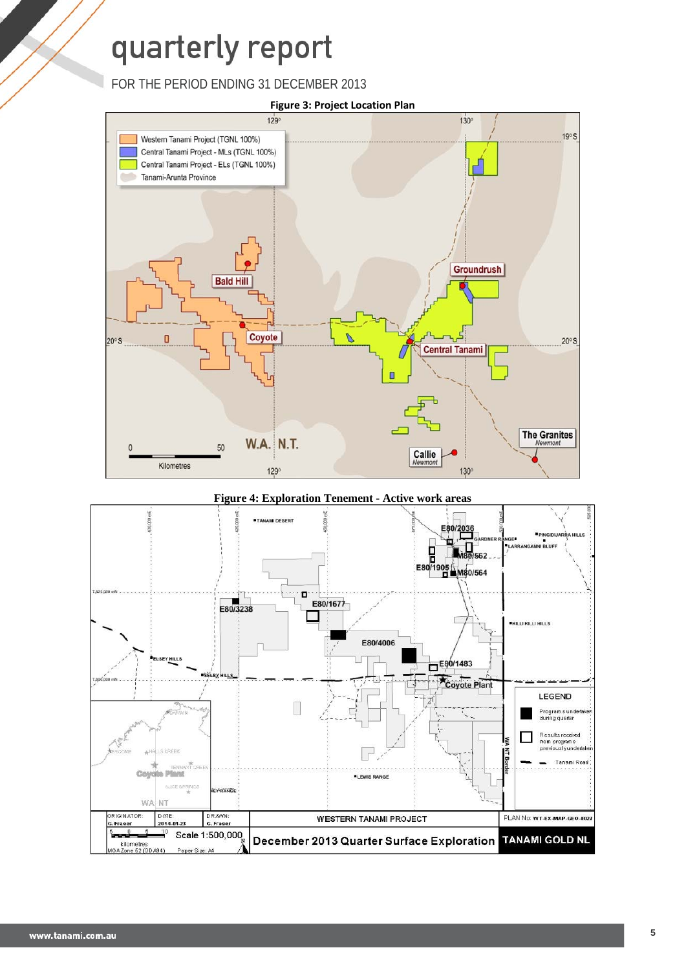FOR THE PERIOD ENDING 31 DECEMBER 2013



#### **Figure 4: Exploration Tenement - Active work areas**

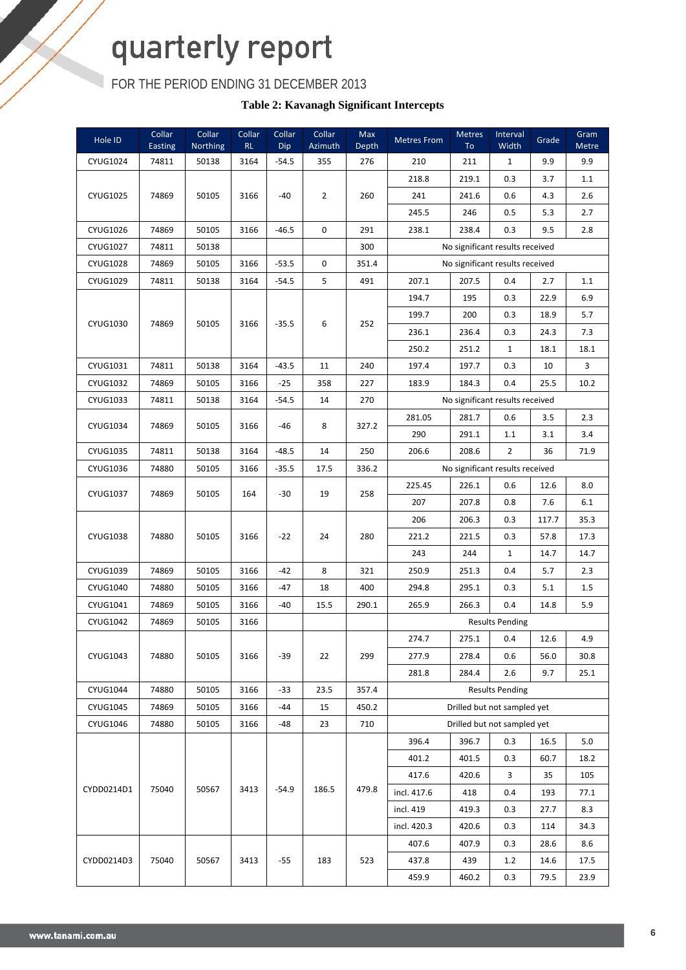FOR THE PERIOD ENDING 31 DECEMBER 2013

**Table 2: Kavanagh Significant Intercepts** 

| Hole ID         | Collar<br>Easting | Collar<br><b>Northing</b> | Collar<br>RL | Collar<br>Dip | Collar<br>Azimuth | Max<br>Depth | <b>Metres From</b>              | Metres<br>To | Interval<br>Width               | Grade | Gram<br>Metre |
|-----------------|-------------------|---------------------------|--------------|---------------|-------------------|--------------|---------------------------------|--------------|---------------------------------|-------|---------------|
| <b>CYUG1024</b> | 74811             | 50138                     | 3164         | $-54.5$       | 355               | 276          | 210                             | 211          | $\mathbf{1}$                    | 9.9   | 9.9           |
|                 |                   |                           |              |               |                   |              | 218.8                           | 219.1        | 0.3                             | 3.7   | 1.1           |
| CYUG1025        | 74869             | 50105                     | 3166         | -40           | $\overline{2}$    | 260          | 241                             | 241.6        | 0.6                             | 4.3   | 2.6           |
|                 |                   |                           |              |               |                   |              | 245.5                           | 246          | 0.5                             | 5.3   | 2.7           |
| CYUG1026        | 74869             | 50105                     | 3166         | $-46.5$       | $\mathbf 0$       | 291          | 238.1                           | 238.4        | 0.3                             | 9.5   | 2.8           |
| <b>CYUG1027</b> | 74811             | 50138                     |              |               |                   | 300          |                                 |              | No significant results received |       |               |
| <b>CYUG1028</b> | 74869             | 50105                     | 3166         | $-53.5$       | 0                 | 351.4        |                                 |              | No significant results received |       |               |
| CYUG1029        | 74811             | 50138                     | 3164         | $-54.5$       | 5                 | 491          | 207.1                           | 207.5        | 0.4                             | 2.7   | 1.1           |
|                 |                   |                           |              |               |                   |              | 194.7                           | 195          | 0.3                             | 22.9  | 6.9           |
| CYUG1030        | 74869             | 50105                     | 3166         | $-35.5$       | 6                 | 252          | 199.7                           | 200          | 0.3                             | 18.9  | 5.7           |
|                 |                   |                           |              |               |                   |              | 236.1                           | 236.4        | 0.3                             | 24.3  | 7.3           |
|                 |                   |                           |              |               |                   |              | 250.2                           | 251.2        | $\mathbf{1}$                    | 18.1  | 18.1          |
| CYUG1031        | 74811             | 50138                     | 3164         | $-43.5$       | 11                | 240          | 197.4                           | 197.7        | 0.3                             | 10    | 3             |
| <b>CYUG1032</b> | 74869             | 50105                     | 3166         | $-25$         | 358               | 227          | 183.9                           | 184.3        | 0.4                             | 25.5  | 10.2          |
| CYUG1033        | 74811             | 50138                     | 3164         | $-54.5$       | 14                | 270          |                                 |              | No significant results received |       |               |
| <b>CYUG1034</b> | 74869             | 50105                     | 3166         | -46           | 8                 | 327.2        | 281.05                          | 281.7        | 0.6                             | 3.5   | 2.3           |
|                 |                   |                           |              |               |                   |              | 290                             | 291.1        | 1.1                             | 3.1   | 3.4           |
| CYUG1035        | 74811             | 50138                     | 3164         | $-48.5$       | 14                | 250          | 206.6                           | 208.6        | $\overline{2}$                  | 36    | 71.9          |
| CYUG1036        | 74880             | 50105                     | 3166         | $-35.5$       | 17.5              | 336.2        | No significant results received |              |                                 |       |               |
| CYUG1037        | 74869             | 50105                     | 164          | -30           | 19                | 258          | 225.45                          | 226.1        | 0.6                             | 12.6  | 8.0           |
|                 |                   |                           |              |               |                   |              | 207                             | 207.8        | 0.8                             | 7.6   | 6.1           |
|                 |                   |                           |              |               |                   |              | 206                             | 206.3        | 0.3                             | 117.7 | 35.3          |
| <b>CYUG1038</b> | 74880             | 50105                     | 3166         | -22           | 24                | 280          | 221.2                           | 221.5        | 0.3                             | 57.8  | 17.3          |
|                 |                   |                           |              |               |                   |              | 243                             | 244          | $\mathbf{1}$                    | 14.7  | 14.7          |
| CYUG1039        | 74869             | 50105                     | 3166         | $-42$         | 8                 | 321          | 250.9                           | 251.3        | 0.4                             | 5.7   | 2.3           |
| CYUG1040        | 74880             | 50105                     | 3166         | -47           | 18                | 400          | 294.8                           | 295.1        | 0.3                             | 5.1   | 1.5           |
| CYUG1041        | 74869             | 50105                     | 3166         | -40           | 15.5              | 290.1        | 265.9                           | 266.3        | 0.4                             | 14.8  | 5.9           |
| CYUG1042        | 74869             | 50105                     | 3166         |               |                   |              |                                 |              | <b>Results Pending</b>          |       |               |
|                 |                   |                           |              |               |                   |              | 274.7                           | 275.1        | 0.4                             | 12.6  | 4.9           |
| CYUG1043        | 74880             | 50105                     | 3166         | -39           | 22                | 299          | 277.9                           | 278.4        | 0.6                             | 56.0  | 30.8          |
|                 |                   |                           |              |               |                   |              | 281.8                           | 284.4        | 2.6                             | 9.7   | 25.1          |
| <b>CYUG1044</b> | 74880             | 50105                     | 3166         | -33           | 23.5              | 357.4        |                                 |              | <b>Results Pending</b>          |       |               |
| CYUG1045        | 74869             | 50105                     | 3166         | -44           | 15                | 450.2        |                                 |              | Drilled but not sampled yet     |       |               |
| CYUG1046        | 74880             | 50105                     | 3166         | -48           | 23                | 710          |                                 |              | Drilled but not sampled yet     |       |               |
|                 |                   |                           |              |               |                   |              | 396.4                           | 396.7        | 0.3                             | 16.5  | 5.0           |
|                 |                   |                           |              |               |                   |              | 401.2                           | 401.5        | 0.3                             | 60.7  | 18.2          |
|                 |                   |                           |              |               |                   |              | 417.6                           | 420.6        | 3                               | 35    | 105           |
| CYDD0214D1      | 75040             | 50567                     | 3413         | $-54.9$       | 186.5             | 479.8        | incl. 417.6                     | 418          | 0.4                             | 193   | 77.1          |
|                 |                   |                           |              |               |                   |              | incl. 419                       | 419.3        | 0.3                             | 27.7  | 8.3           |
|                 |                   |                           |              |               |                   |              | incl. 420.3                     | 420.6        | 0.3                             | 114   | 34.3          |
|                 |                   |                           |              |               |                   |              | 407.6                           | 407.9        | 0.3                             | 28.6  | 8.6           |
| CYDD0214D3      | 75040             | 50567                     | 3413         | -55           | 183               | 523          | 437.8                           | 439          | 1.2                             | 14.6  | 17.5          |
|                 |                   |                           |              |               |                   |              | 459.9                           | 460.2        | 0.3                             | 79.5  | 23.9          |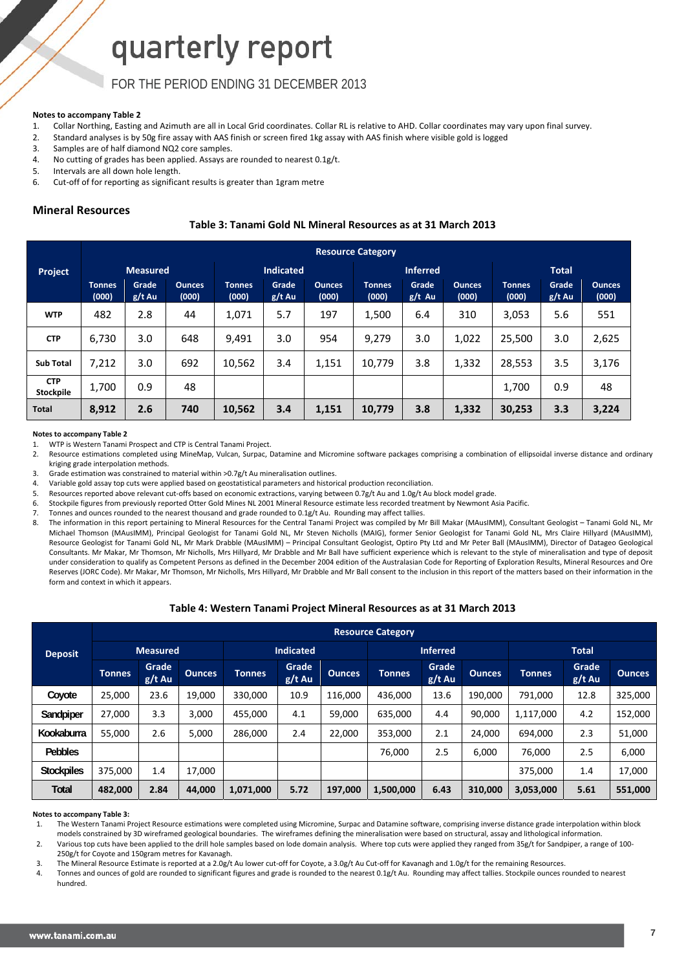### FOR THE PERIOD ENDING 31 DECEMBER 2013

#### **Notes to accompany Table 2**

- 1. Collar Northing, Easting and Azimuth are all in Local Grid coordinates. Collar RL is relative to AHD. Collar coordinates may vary upon final survey.
- 2. Standard analyses is by 50g fire assay with AAS finish or screen fired 1kg assay with AAS finish where visible gold is logged
- 3. Samples are of half diamond NQ2 core samples.
- 4. No cutting of grades has been applied. Assays are rounded to nearest 0.1g/t.
- 5. Intervals are all down hole length.
- 6. Cut‐off of for reporting as significant results is greater than 1gram metre

#### **Mineral Resources**

#### **Table 3: Tanami Gold NL Mineral Resources as at 31 March 2013**

|                         | <b>Resource Category</b> |                 |                        |                        |                   |                        |                        |                   |                        |                        |                 |                        |
|-------------------------|--------------------------|-----------------|------------------------|------------------------|-------------------|------------------------|------------------------|-------------------|------------------------|------------------------|-----------------|------------------------|
| Project                 |                          | <b>Measured</b> |                        |                        | <b>Indicated</b>  |                        |                        | <b>Inferred</b>   |                        |                        | <b>Total</b>    |                        |
|                         | <b>Tonnes</b><br>(000)   | Grade<br>g/t Au | <b>Ounces</b><br>(000) | <b>Tonnes</b><br>(000) | Grade<br>$g/t$ Au | <b>Ounces</b><br>(000) | <b>Tonnes</b><br>(000) | Grade<br>$g/t$ Au | <b>Ounces</b><br>(000) | <b>Tonnes</b><br>(000) | Grade<br>g/t Au | <b>Ounces</b><br>(000) |
| <b>WTP</b>              | 482                      | 2.8             | 44                     | 1,071                  | 5.7               | 197                    | 1,500                  | 6.4               | 310                    | 3,053                  | 5.6             | 551                    |
| <b>CTP</b>              | 6,730                    | 3.0             | 648                    | 9,491                  | 3.0               | 954                    | 9,279                  | 3.0               | 1.022                  | 25,500                 | 3.0             | 2,625                  |
| <b>Sub Total</b>        | 7,212                    | 3.0             | 692                    | 10,562                 | 3.4               | 1,151                  | 10,779                 | 3.8               | 1,332                  | 28,553                 | 3.5             | 3,176                  |
| <b>CTP</b><br>Stockpile | 1,700                    | 0.9             | 48                     |                        |                   |                        |                        |                   |                        | 1.700                  | 0.9             | 48                     |
| <b>Total</b>            | 8,912                    | 2.6             | 740                    | 10,562                 | 3.4               | 1,151                  | 10,779                 | 3.8               | 1,332                  | 30,253                 | 3.3             | 3,224                  |

#### **Notes to accompany Table 2**

1. WTP is Western Tanami Prospect and CTP is Central Tanami Project.

2. Resource estimations completed using MineMap, Vulcan, Surpac, Datamine and Micromine software packages comprising a combination of ellipsoidal inverse distance and ordinary kriging grade interpolation methods.

- 3. Grade estimation was constrained to material within >0.7g/t Au mineralisation outlines.
- 4. Variable gold assay top cuts were applied based on geostatistical parameters and historical production reconciliation.

5. Resources reported above relevant cut-offs based on economic extractions, varying between 0.7g/t Au and 1.0g/t Au block model grade.

- 6. Stockpile figures from previously reported Otter Gold Mines NL 2001 Mineral Resource estimate less recorded treatment by Newmont Asia Pacific.
- 7. Tonnes and ounces rounded to the nearest thousand and grade rounded to 0.1g/t Au. Rounding may affect tallies.

8. The information in this report pertaining to Mineral Resources for the Central Tanami Project was compiled by Mr Bill Makar (MAusIMM), Consultant Geologist – Tanami Gold NL, Mr Michael Thomson (MAusIMM), Principal Geologist for Tanami Gold NL, Mr Steven Nicholls (MAIG), former Senior Geologist for Tanami Gold NL, Mrs Claire Hillyard (MAusIMM), Resource Geologist for Tanami Gold NL, Mr Mark Drabble (MAusIMM) – Principal Consultant Geologist, Optiro Pty Ltd and Mr Peter Ball (MAusIMM), Director of Datageo Geological Consultants. Mr Makar, Mr Thomson, Mr Nicholls, Mrs Hillyard, Mr Drabble and Mr Ball have sufficient experience which is relevant to the style of mineralisation and type of deposit under consideration to qualify as Competent Persons as defined in the December 2004 edition of the Australasian Code for Reporting of Exploration Results, Mineral Resources and Ore Reserves (JORC Code). Mr Makar, Mr Thomson, Mr Nicholls, Mrs Hillyard, Mr Drabble and Mr Ball consent to the inclusion in this report of the matters based on their information in the form and context in which it appears.

#### **Table 4: Western Tanami Project Mineral Resources as at 31 March 2013**

|                   |               | <b>Resource Category</b> |               |               |                   |               |               |                   |               |               |                   |               |
|-------------------|---------------|--------------------------|---------------|---------------|-------------------|---------------|---------------|-------------------|---------------|---------------|-------------------|---------------|
| <b>Deposit</b>    |               | <b>Measured</b>          |               |               | <b>Indicated</b>  |               |               | <b>Inferred</b>   |               |               | <b>Total</b>      |               |
|                   | <b>Tonnes</b> | Grade<br>$g/t$ Au        | <b>Ounces</b> | <b>Tonnes</b> | Grade<br>$g/t$ Au | <b>Ounces</b> | <b>Tonnes</b> | Grade<br>$g/t$ Au | <b>Ounces</b> | <b>Tonnes</b> | Grade<br>$g/t$ Au | <b>Qunces</b> |
| Coyote            | 25,000        | 23.6                     | 19,000        | 330,000       | 10.9              | 116.000       | 436.000       | 13.6              | 190.000       | 791.000       | 12.8              | 325,000       |
| Sandpiper         | 27,000        | 3.3                      | 3,000         | 455,000       | 4.1               | 59,000        | 635,000       | 4.4               | 90,000        | 1,117,000     | 4.2               | 152,000       |
| Kookaburra        | 55,000        | 2.6                      | 5,000         | 286,000       | 2.4               | 22,000        | 353,000       | 2.1               | 24.000        | 694,000       | 2.3               | 51,000        |
| <b>Pebbles</b>    |               |                          |               |               |                   |               | 76,000        | 2.5               | 6,000         | 76,000        | 2.5               | 6,000         |
| <b>Stockpiles</b> | 375,000       | 1.4                      | 17.000        |               |                   |               |               |                   |               | 375,000       | 1.4               | 17,000        |
| Total             | 482,000       | 2.84                     | 44,000        | 1,071,000     | 5.72              | 197,000       | 1,500,000     | 6.43              | 310,000       | 3,053,000     | 5.61              | 551,000       |

#### **Notes to accompany Table 3:**

1. The Western Tanami Project Resource estimations were completed using Micromine, Surpac and Datamine software, comprising inverse distance grade interpolation within block models constrained by 3D wireframed geological boundaries. The wireframes defining the mineralisation were based on structural, assay and lithological information.

2. Various top cuts have been applied to the drill hole samples based on lode domain analysis. Where top cuts were applied they ranged from 35g/t for Sandpiper, a range of 100-250g/t for Coyote and 150gram metres for Kavanagh.

3. The Mineral Resource Estimate is reported at a 2.0g/t Au lower cut-off for Coyote, a 3.0g/t Au Cut-off for Kavanagh and 1.0g/t for the remaining Resources.

Tonnes and ounces of gold are rounded to significant figures and grade is rounded to the nearest 0.1g/t Au. Rounding may affect tallies. Stockpile ounces rounded to nearest hundred.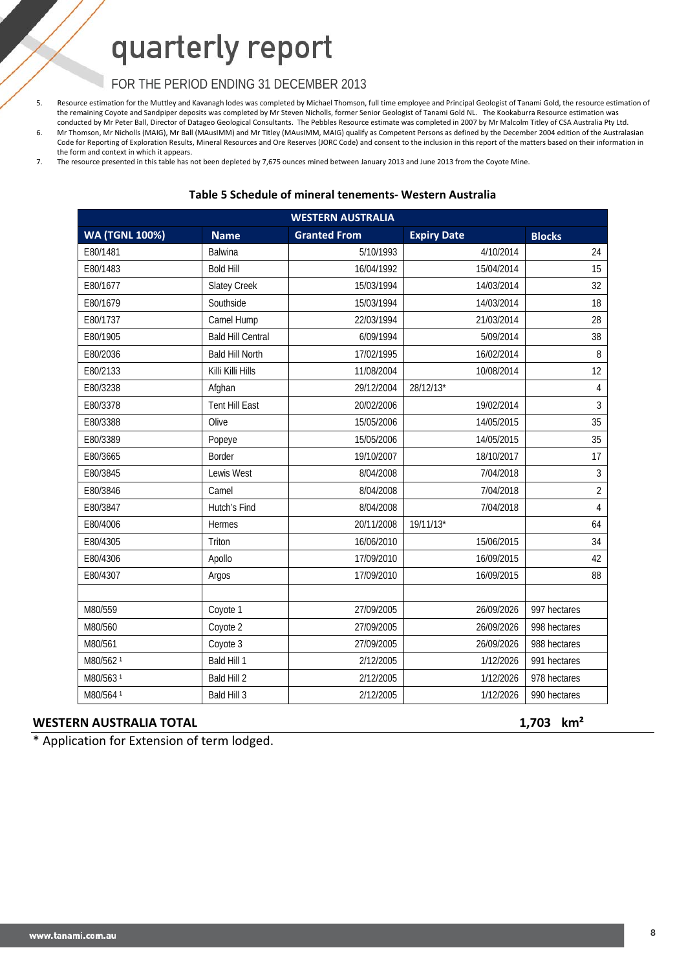### FOR THE PERIOD ENDING 31 DECEMBER 2013

5. Resource estimation for the Muttley and Kavanagh lodes was completed by Michael Thomson, full time employee and Principal Geologist of Tanami Gold, the resource estimation of the remaining Coyote and Sandpiper deposits was completed by Mr Steven Nicholls, former Senior Geologist of Tanami Gold NL. The Kookaburra Resource estimation was conducted by Mr Peter Ball, Director of Datageo Geological Consultants. The Pebbles Resource estimate was completed in 2007 by Mr Malcolm Titley of CSA Australia Pty Ltd. 6. Mr Thomson, Mr Nicholls (MAIG), Mr Ball (MAusIMM) and Mr Titley (MAusIMM, MAIG) qualify as Competent Persons as defined by the December 2004 edition of the Australasian Code for Reporting of Exploration Results, Mineral Resources and Ore Reserves (JORC Code) and consent to the inclusion in this report of the matters based on their information in the form and context in which it appears.

7. The resource presented in this table has not been depleted by 7,675 ounces mined between January 2013 and June 2013 from the Coyote Mine.

### **Table 5 Schedule of mineral tenements‐ Western Australia**

| <b>WESTERN AUSTRALIA</b> |                          |                     |                    |                |  |  |  |  |
|--------------------------|--------------------------|---------------------|--------------------|----------------|--|--|--|--|
| <b>WA (TGNL 100%)</b>    | <b>Name</b>              | <b>Granted From</b> | <b>Expiry Date</b> | <b>Blocks</b>  |  |  |  |  |
| E80/1481                 | <b>Balwina</b>           | 5/10/1993           | 4/10/2014          | 24             |  |  |  |  |
| E80/1483                 | <b>Bold Hill</b>         | 16/04/1992          | 15/04/2014         | 15             |  |  |  |  |
| E80/1677                 | <b>Slatey Creek</b>      | 15/03/1994          | 14/03/2014         | 32             |  |  |  |  |
| E80/1679                 | Southside                | 15/03/1994          | 14/03/2014         | 18             |  |  |  |  |
| E80/1737                 | Camel Hump               | 22/03/1994          | 21/03/2014         | 28             |  |  |  |  |
| E80/1905                 | <b>Bald Hill Central</b> | 6/09/1994           | 5/09/2014          | 38             |  |  |  |  |
| E80/2036                 | <b>Bald Hill North</b>   | 17/02/1995          | 16/02/2014         | 8              |  |  |  |  |
| E80/2133                 | Killi Killi Hills        | 11/08/2004          | 10/08/2014         | 12             |  |  |  |  |
| E80/3238                 | Afghan                   | 29/12/2004          | 28/12/13*          | $\overline{4}$ |  |  |  |  |
| E80/3378                 | <b>Tent Hill East</b>    | 20/02/2006          | 19/02/2014         | $\mathfrak{Z}$ |  |  |  |  |
| E80/3388                 | Olive                    | 15/05/2006          | 14/05/2015         | 35             |  |  |  |  |
| E80/3389                 | Popeye                   | 15/05/2006          | 14/05/2015         | 35             |  |  |  |  |
| E80/3665                 | Border                   | 19/10/2007          | 18/10/2017         | 17             |  |  |  |  |
| E80/3845                 | Lewis West               | 8/04/2008           | 7/04/2018          | $\mathfrak{Z}$ |  |  |  |  |
| E80/3846                 | Camel                    | 8/04/2008           | 7/04/2018          | $\overline{2}$ |  |  |  |  |
| E80/3847                 | Hutch's Find             | 8/04/2008           | 7/04/2018          | $\overline{4}$ |  |  |  |  |
| E80/4006                 | <b>Hermes</b>            | 20/11/2008          | 19/11/13*          | 64             |  |  |  |  |
| E80/4305                 | Triton                   | 16/06/2010          | 15/06/2015         | 34             |  |  |  |  |
| E80/4306                 | Apollo                   | 17/09/2010          | 16/09/2015         | 42             |  |  |  |  |
| E80/4307                 | Argos                    | 17/09/2010          | 16/09/2015         | 88             |  |  |  |  |
|                          |                          |                     |                    |                |  |  |  |  |
| M80/559                  | Coyote 1                 | 27/09/2005          | 26/09/2026         | 997 hectares   |  |  |  |  |
| M80/560                  | Coyote 2                 | 27/09/2005          | 26/09/2026         | 998 hectares   |  |  |  |  |
| M80/561                  | Coyote 3                 | 27/09/2005          | 26/09/2026         | 988 hectares   |  |  |  |  |
| M80/562 <sup>1</sup>     | Bald Hill 1              | 2/12/2005           | 1/12/2026          | 991 hectares   |  |  |  |  |
| M80/563 <sup>1</sup>     | Bald Hill 2              | 2/12/2005           | 1/12/2026          | 978 hectares   |  |  |  |  |
| M80/564 <sup>1</sup>     | Bald Hill 3              | 2/12/2005           | 1/12/2026          | 990 hectares   |  |  |  |  |

#### **WESTERN AUSTRALIA TOTAL 1,703 km²**

\* Application for Extension of term lodged.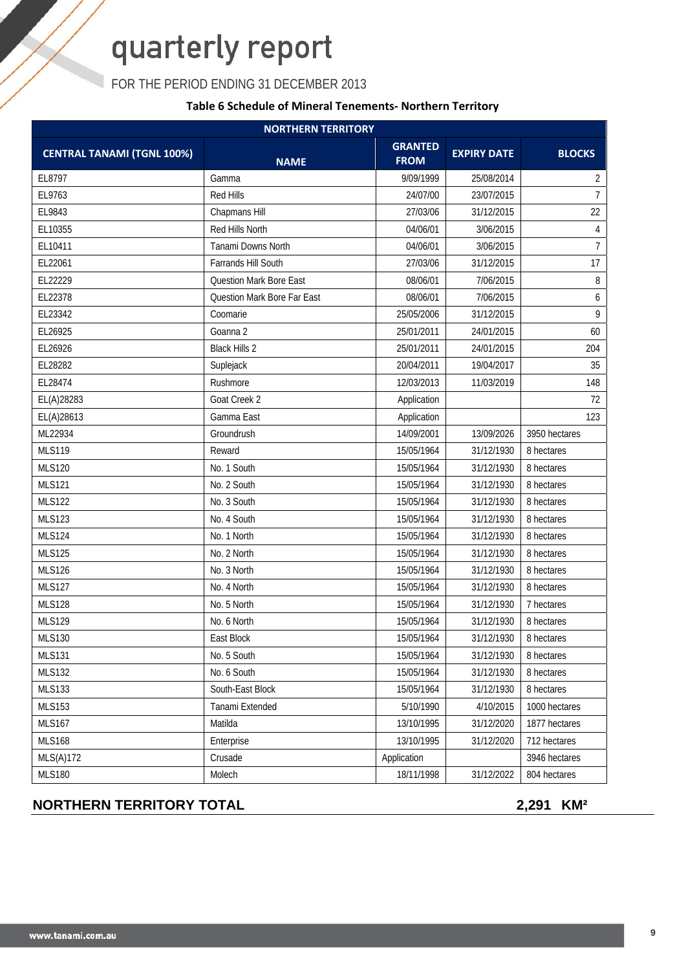FOR THE PERIOD ENDING 31 DECEMBER 2013

### **Table 6 Schedule of Mineral Tenements‐ Northern Territory**

|                                   | <b>NORTHERN TERRITORY</b>      |                               |                    |                |
|-----------------------------------|--------------------------------|-------------------------------|--------------------|----------------|
| <b>CENTRAL TANAMI (TGNL 100%)</b> | <b>NAME</b>                    | <b>GRANTED</b><br><b>FROM</b> | <b>EXPIRY DATE</b> | <b>BLOCKS</b>  |
| EL8797                            | Gamma                          | 9/09/1999                     | 25/08/2014         | $\overline{2}$ |
| EL9763                            | Red Hills                      | 24/07/00                      | 23/07/2015         | $\overline{7}$ |
| EL9843                            | Chapmans Hill                  | 27/03/06                      | 31/12/2015         | 22             |
| EL10355                           | Red Hills North                | 04/06/01                      | 3/06/2015          | $\overline{4}$ |
| EL10411                           | <b>Tanami Downs North</b>      | 04/06/01                      | 3/06/2015          | $\overline{7}$ |
| EL22061                           | Farrands Hill South            | 27/03/06                      | 31/12/2015         | 17             |
| EL22229                           | <b>Question Mark Bore East</b> | 08/06/01                      | 7/06/2015          | 8              |
| EL22378                           | Question Mark Bore Far East    | 08/06/01                      | 7/06/2015          | 6              |
| EL23342                           | Coomarie                       | 25/05/2006                    | 31/12/2015         | 9              |
| EL26925                           | Goanna 2                       | 25/01/2011                    | 24/01/2015         | 60             |
| EL26926                           | <b>Black Hills 2</b>           | 25/01/2011                    | 24/01/2015         | 204            |
| EL28282                           | Suplejack                      | 20/04/2011                    | 19/04/2017         | 35             |
| EL28474                           | Rushmore                       | 12/03/2013                    | 11/03/2019         | 148            |
| EL(A)28283                        | Goat Creek 2                   | Application                   |                    | 72             |
| EL(A)28613                        | Gamma East                     | Application                   |                    | 123            |
| ML22934                           | Groundrush                     | 14/09/2001                    | 13/09/2026         | 3950 hectares  |
| <b>MLS119</b>                     | Reward                         | 15/05/1964                    | 31/12/1930         | 8 hectares     |
| <b>MLS120</b>                     | No. 1 South                    | 15/05/1964                    | 31/12/1930         | 8 hectares     |
| <b>MLS121</b>                     | No. 2 South                    | 15/05/1964                    | 31/12/1930         | 8 hectares     |
| <b>MLS122</b>                     | No. 3 South                    | 15/05/1964                    | 31/12/1930         | 8 hectares     |
| <b>MLS123</b>                     | No. 4 South                    | 15/05/1964                    | 31/12/1930         | 8 hectares     |
| <b>MLS124</b>                     | No. 1 North                    | 15/05/1964                    | 31/12/1930         | 8 hectares     |
| <b>MLS125</b>                     | No. 2 North                    | 15/05/1964                    | 31/12/1930         | 8 hectares     |
| <b>MLS126</b>                     | No. 3 North                    | 15/05/1964                    | 31/12/1930         | 8 hectares     |
| <b>MLS127</b>                     | No. 4 North                    | 15/05/1964                    | 31/12/1930         | 8 hectares     |
| <b>MLS128</b>                     | No. 5 North                    | 15/05/1964                    | 31/12/1930         | 7 hectares     |
| <b>MLS129</b>                     | No. 6 North                    | 15/05/1964                    | 31/12/1930         | 8 hectares     |
| <b>MLS130</b>                     | East Block                     | 15/05/1964                    | 31/12/1930         | 8 hectares     |
| <b>MLS131</b>                     | No. 5 South                    | 15/05/1964                    | 31/12/1930         | 8 hectares     |
| <b>MLS132</b>                     | No. 6 South                    | 15/05/1964                    | 31/12/1930         | 8 hectares     |
| <b>MLS133</b>                     | South-East Block               | 15/05/1964                    | 31/12/1930         | 8 hectares     |
| <b>MLS153</b>                     | Tanami Extended                | 5/10/1990                     | 4/10/2015          | 1000 hectares  |
| <b>MLS167</b>                     | Matilda                        | 13/10/1995                    | 31/12/2020         | 1877 hectares  |
| <b>MLS168</b>                     | Enterprise                     | 13/10/1995                    | 31/12/2020         | 712 hectares   |
| MLS(A)172                         | Crusade                        | Application                   |                    | 3946 hectares  |
| <b>MLS180</b>                     | Molech                         | 18/11/1998                    | 31/12/2022         | 804 hectares   |

### **NORTHERN TERRITORY TOTAL 2,291 KM<sup>2</sup>**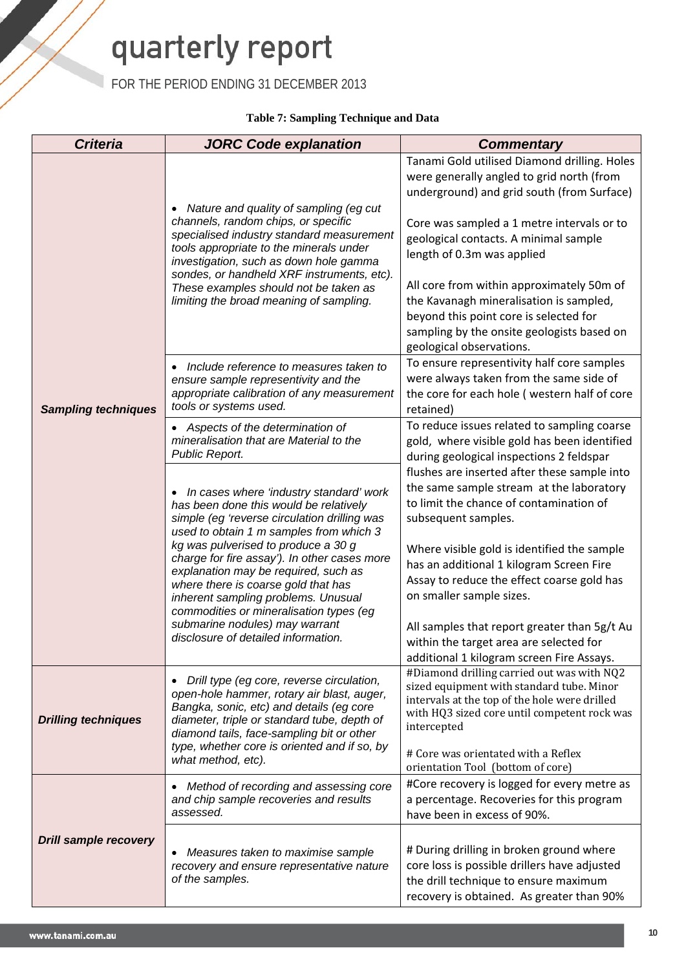FOR THE PERIOD ENDING 31 DECEMBER 2013

### **Table 7: Sampling Technique and Data**

| <b>Criteria</b>              | <b>JORC Code explanation</b>                                                                                                                                                                                                                                                                                                                                             | <b>Commentary</b>                                                                                                                                                                                                                                                                                                                                                                                                                                                        |  |  |
|------------------------------|--------------------------------------------------------------------------------------------------------------------------------------------------------------------------------------------------------------------------------------------------------------------------------------------------------------------------------------------------------------------------|--------------------------------------------------------------------------------------------------------------------------------------------------------------------------------------------------------------------------------------------------------------------------------------------------------------------------------------------------------------------------------------------------------------------------------------------------------------------------|--|--|
|                              | Nature and quality of sampling (eg cut<br>channels, random chips, or specific<br>specialised industry standard measurement<br>tools appropriate to the minerals under<br>investigation, such as down hole gamma<br>sondes, or handheld XRF instruments, etc).<br>These examples should not be taken as<br>limiting the broad meaning of sampling.                        | Tanami Gold utilised Diamond drilling. Holes<br>were generally angled to grid north (from<br>underground) and grid south (from Surface)<br>Core was sampled a 1 metre intervals or to<br>geological contacts. A minimal sample<br>length of 0.3m was applied<br>All core from within approximately 50m of<br>the Kavanagh mineralisation is sampled,<br>beyond this point core is selected for<br>sampling by the onsite geologists based on<br>geological observations. |  |  |
| <b>Sampling techniques</b>   | Include reference to measures taken to<br>ensure sample representivity and the<br>appropriate calibration of any measurement<br>tools or systems used.                                                                                                                                                                                                                   | To ensure representivity half core samples<br>were always taken from the same side of<br>the core for each hole (western half of core<br>retained)                                                                                                                                                                                                                                                                                                                       |  |  |
|                              | Aspects of the determination of<br>mineralisation that are Material to the<br>Public Report.<br>In cases where 'industry standard' work<br>has been done this would be relatively<br>simple (eg 'reverse circulation drilling was                                                                                                                                        | To reduce issues related to sampling coarse<br>gold, where visible gold has been identified<br>during geological inspections 2 feldspar<br>flushes are inserted after these sample into<br>the same sample stream at the laboratory<br>to limit the chance of contamination of<br>subsequent samples.                                                                                                                                                                    |  |  |
|                              | used to obtain 1 m samples from which 3<br>kg was pulverised to produce a 30 g<br>charge for fire assay'). In other cases more<br>explanation may be required, such as<br>where there is coarse gold that has<br>inherent sampling problems. Unusual<br>commodities or mineralisation types (eg<br>submarine nodules) may warrant<br>disclosure of detailed information. | Where visible gold is identified the sample<br>has an additional 1 kilogram Screen Fire<br>Assay to reduce the effect coarse gold has<br>on smaller sample sizes.<br>All samples that report greater than 5g/t Au<br>within the target area are selected for                                                                                                                                                                                                             |  |  |
| <b>Drilling techniques</b>   | Drill type (eg core, reverse circulation,<br>open-hole hammer, rotary air blast, auger,<br>Bangka, sonic, etc) and details (eg core<br>diameter, triple or standard tube, depth of<br>diamond tails, face-sampling bit or other<br>type, whether core is oriented and if so, by<br>what method, etc).                                                                    | additional 1 kilogram screen Fire Assays.<br>#Diamond drilling carried out was with NQ2<br>sized equipment with standard tube. Minor<br>intervals at the top of the hole were drilled<br>with HQ3 sized core until competent rock was<br>intercepted<br># Core was orientated with a Reflex                                                                                                                                                                              |  |  |
| <b>Drill sample recovery</b> | Method of recording and assessing core<br>$\bullet$<br>and chip sample recoveries and results<br>assessed.                                                                                                                                                                                                                                                               | orientation Tool (bottom of core)<br>#Core recovery is logged for every metre as<br>a percentage. Recoveries for this program<br>have been in excess of 90%.                                                                                                                                                                                                                                                                                                             |  |  |
|                              | Measures taken to maximise sample<br>$\bullet$<br>recovery and ensure representative nature<br>of the samples.                                                                                                                                                                                                                                                           | # During drilling in broken ground where<br>core loss is possible drillers have adjusted<br>the drill technique to ensure maximum<br>recovery is obtained. As greater than 90%                                                                                                                                                                                                                                                                                           |  |  |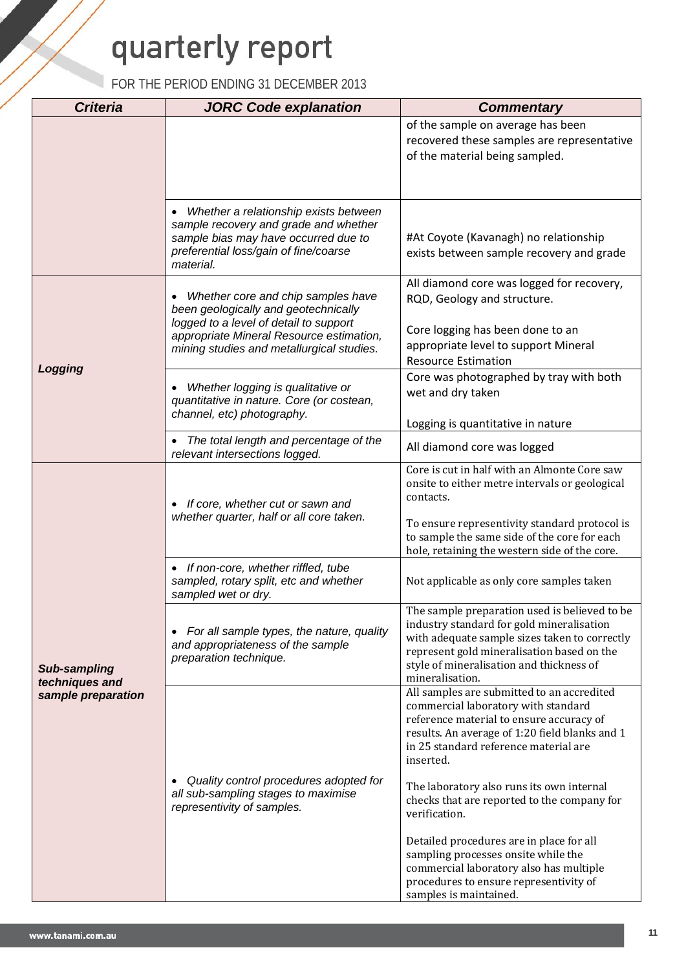| <b>Criteria</b>                      | <b>JORC Code explanation</b>                                                                                                                                    | <b>Commentary</b>                                                                                                                                                                                                                                        |
|--------------------------------------|-----------------------------------------------------------------------------------------------------------------------------------------------------------------|----------------------------------------------------------------------------------------------------------------------------------------------------------------------------------------------------------------------------------------------------------|
|                                      |                                                                                                                                                                 | of the sample on average has been                                                                                                                                                                                                                        |
|                                      |                                                                                                                                                                 | recovered these samples are representative                                                                                                                                                                                                               |
|                                      |                                                                                                                                                                 | of the material being sampled.                                                                                                                                                                                                                           |
|                                      |                                                                                                                                                                 |                                                                                                                                                                                                                                                          |
|                                      | Whether a relationship exists between<br>sample recovery and grade and whether<br>sample bias may have occurred due to<br>preferential loss/gain of fine/coarse | #At Coyote (Kavanagh) no relationship<br>exists between sample recovery and grade                                                                                                                                                                        |
|                                      | material.                                                                                                                                                       |                                                                                                                                                                                                                                                          |
|                                      |                                                                                                                                                                 | All diamond core was logged for recovery,                                                                                                                                                                                                                |
|                                      | Whether core and chip samples have<br>been geologically and geotechnically                                                                                      | RQD, Geology and structure.                                                                                                                                                                                                                              |
|                                      | logged to a level of detail to support<br>appropriate Mineral Resource estimation,<br>mining studies and metallurgical studies.                                 | Core logging has been done to an<br>appropriate level to support Mineral<br><b>Resource Estimation</b>                                                                                                                                                   |
| Logging                              | Whether logging is qualitative or<br>quantitative in nature. Core (or costean,<br>channel, etc) photography.                                                    | Core was photographed by tray with both<br>wet and dry taken                                                                                                                                                                                             |
|                                      |                                                                                                                                                                 | Logging is quantitative in nature                                                                                                                                                                                                                        |
|                                      | The total length and percentage of the<br>relevant intersections logged.                                                                                        | All diamond core was logged                                                                                                                                                                                                                              |
|                                      | If core, whether cut or sawn and<br>$\bullet$<br>whether quarter, half or all core taken.                                                                       | Core is cut in half with an Almonte Core saw<br>onsite to either metre intervals or geological<br>contacts.                                                                                                                                              |
|                                      |                                                                                                                                                                 | To ensure representivity standard protocol is<br>to sample the same side of the core for each<br>hole, retaining the western side of the core.                                                                                                           |
|                                      | If non-core, whether riffled, tube<br>sampled, rotary split, etc and whether<br>sampled wet or dry.                                                             | Not applicable as only core samples taken                                                                                                                                                                                                                |
| <b>Sub-sampling</b>                  | For all sample types, the nature, quality<br>$\bullet$<br>and appropriateness of the sample<br>preparation technique.                                           | The sample preparation used is believed to be<br>industry standard for gold mineralisation<br>with adequate sample sizes taken to correctly<br>represent gold mineralisation based on the<br>style of mineralisation and thickness of<br>mineralisation. |
| techniques and<br>sample preparation |                                                                                                                                                                 | All samples are submitted to an accredited<br>commercial laboratory with standard<br>reference material to ensure accuracy of<br>results. An average of 1:20 field blanks and 1<br>in 25 standard reference material are<br>inserted.                    |
|                                      | Quality control procedures adopted for<br>$\bullet$<br>all sub-sampling stages to maximise<br>representivity of samples.                                        | The laboratory also runs its own internal<br>checks that are reported to the company for<br>verification.                                                                                                                                                |
|                                      |                                                                                                                                                                 | Detailed procedures are in place for all<br>sampling processes onsite while the<br>commercial laboratory also has multiple<br>procedures to ensure representivity of<br>samples is maintained.                                                           |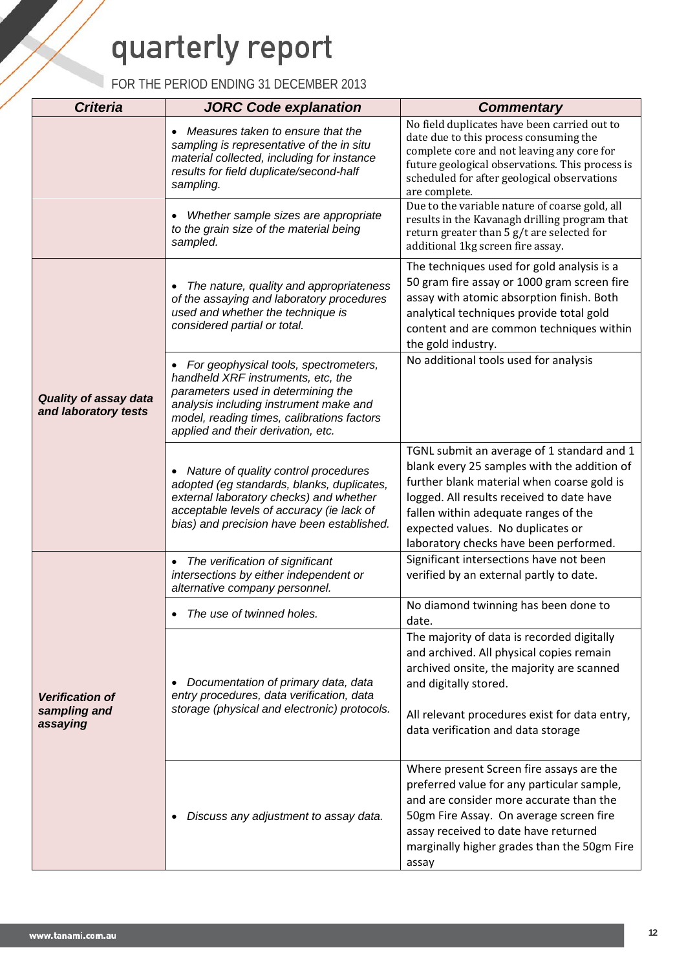| <b>Criteria</b>                                      | <b>JORC Code explanation</b>                                                                                                                                                                                                                    | <b>Commentary</b>                                                                                                                                                                                                                                                                                           |
|------------------------------------------------------|-------------------------------------------------------------------------------------------------------------------------------------------------------------------------------------------------------------------------------------------------|-------------------------------------------------------------------------------------------------------------------------------------------------------------------------------------------------------------------------------------------------------------------------------------------------------------|
|                                                      | Measures taken to ensure that the<br>$\bullet$<br>sampling is representative of the in situ<br>material collected, including for instance<br>results for field duplicate/second-half<br>sampling.                                               | No field duplicates have been carried out to<br>date due to this process consuming the<br>complete core and not leaving any core for<br>future geological observations. This process is<br>scheduled for after geological observations<br>are complete.                                                     |
|                                                      | Whether sample sizes are appropriate<br>to the grain size of the material being<br>sampled.                                                                                                                                                     | Due to the variable nature of coarse gold, all<br>results in the Kavanagh drilling program that<br>return greater than 5 g/t are selected for<br>additional 1kg screen fire assay.                                                                                                                          |
|                                                      | The nature, quality and appropriateness<br>of the assaying and laboratory procedures<br>used and whether the technique is<br>considered partial or total.                                                                                       | The techniques used for gold analysis is a<br>50 gram fire assay or 1000 gram screen fire<br>assay with atomic absorption finish. Both<br>analytical techniques provide total gold<br>content and are common techniques within<br>the gold industry.                                                        |
| <b>Quality of assay data</b><br>and laboratory tests | For geophysical tools, spectrometers,<br>handheld XRF instruments, etc, the<br>parameters used in determining the<br>analysis including instrument make and<br>model, reading times, calibrations factors<br>applied and their derivation, etc. | No additional tools used for analysis                                                                                                                                                                                                                                                                       |
|                                                      | Nature of quality control procedures<br>$\bullet$<br>adopted (eg standards, blanks, duplicates,<br>external laboratory checks) and whether<br>acceptable levels of accuracy (ie lack of<br>bias) and precision have been established.           | TGNL submit an average of 1 standard and 1<br>blank every 25 samples with the addition of<br>further blank material when coarse gold is<br>logged. All results received to date have<br>fallen within adequate ranges of the<br>expected values. No duplicates or<br>laboratory checks have been performed. |
|                                                      | The verification of significant<br>$\bullet$<br>intersections by either independent or<br>alternative company personnel.                                                                                                                        | Significant intersections have not been<br>verified by an external partly to date.                                                                                                                                                                                                                          |
|                                                      | The use of twinned holes.                                                                                                                                                                                                                       | No diamond twinning has been done to<br>date.                                                                                                                                                                                                                                                               |
| <b>Verification of</b><br>sampling and<br>assaying   | Documentation of primary data, data<br>entry procedures, data verification, data<br>storage (physical and electronic) protocols.                                                                                                                | The majority of data is recorded digitally<br>and archived. All physical copies remain<br>archived onsite, the majority are scanned<br>and digitally stored.<br>All relevant procedures exist for data entry,<br>data verification and data storage                                                         |
|                                                      | Discuss any adjustment to assay data.                                                                                                                                                                                                           | Where present Screen fire assays are the<br>preferred value for any particular sample,<br>and are consider more accurate than the<br>50gm Fire Assay. On average screen fire<br>assay received to date have returned<br>marginally higher grades than the 50gm Fire<br>assay                                |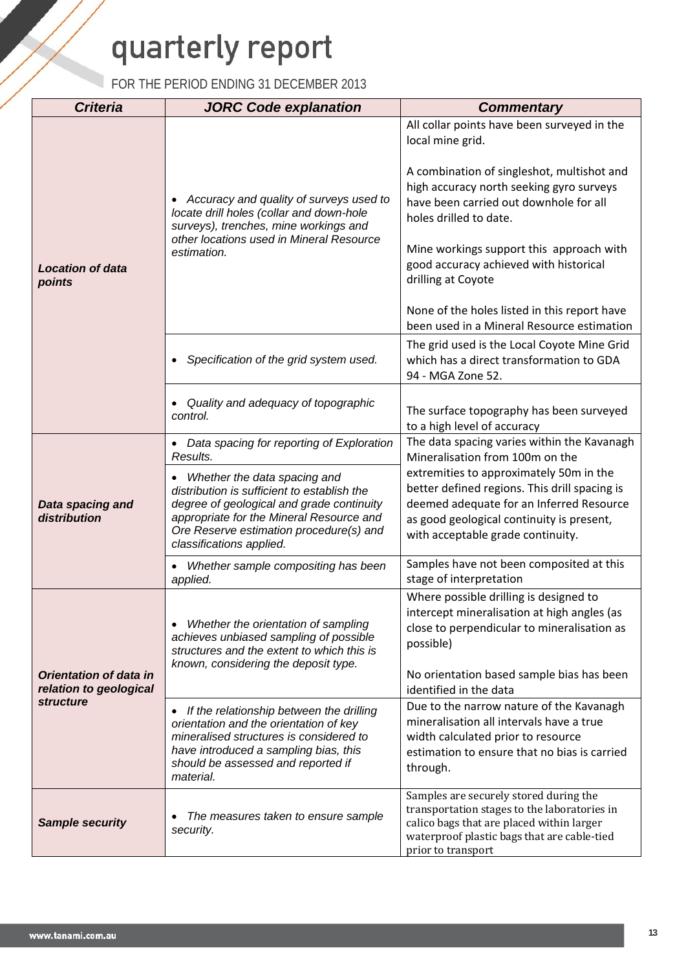| <b>Criteria</b>                                                             | <b>JORC Code explanation</b>                                                                                                                                                                                                                             | <b>Commentary</b>                                                                                                                                                                                                                                |  |  |
|-----------------------------------------------------------------------------|----------------------------------------------------------------------------------------------------------------------------------------------------------------------------------------------------------------------------------------------------------|--------------------------------------------------------------------------------------------------------------------------------------------------------------------------------------------------------------------------------------------------|--|--|
|                                                                             |                                                                                                                                                                                                                                                          | All collar points have been surveyed in the<br>local mine grid.                                                                                                                                                                                  |  |  |
|                                                                             | Accuracy and quality of surveys used to<br>locate drill holes (collar and down-hole<br>surveys), trenches, mine workings and<br>other locations used in Mineral Resource<br>estimation.                                                                  | A combination of singleshot, multishot and<br>high accuracy north seeking gyro surveys<br>have been carried out downhole for all<br>holes drilled to date.<br>Mine workings support this approach with<br>good accuracy achieved with historical |  |  |
| <b>Location of data</b><br>points                                           |                                                                                                                                                                                                                                                          | drilling at Coyote<br>None of the holes listed in this report have<br>been used in a Mineral Resource estimation                                                                                                                                 |  |  |
|                                                                             | Specification of the grid system used.<br>$\bullet$                                                                                                                                                                                                      | The grid used is the Local Coyote Mine Grid<br>which has a direct transformation to GDA<br>94 - MGA Zone 52.                                                                                                                                     |  |  |
|                                                                             | Quality and adequacy of topographic<br>control.                                                                                                                                                                                                          | The surface topography has been surveyed<br>to a high level of accuracy                                                                                                                                                                          |  |  |
|                                                                             | • Data spacing for reporting of Exploration<br>Results.                                                                                                                                                                                                  | The data spacing varies within the Kavanagh<br>Mineralisation from 100m on the                                                                                                                                                                   |  |  |
| Data spacing and<br>distribution                                            | Whether the data spacing and<br>$\bullet$<br>distribution is sufficient to establish the<br>degree of geological and grade continuity<br>appropriate for the Mineral Resource and<br>Ore Reserve estimation procedure(s) and<br>classifications applied. | extremities to approximately 50m in the<br>better defined regions. This drill spacing is<br>deemed adequate for an Inferred Resource<br>as good geological continuity is present,<br>with acceptable grade continuity.                           |  |  |
|                                                                             | Whether sample compositing has been<br>applied.                                                                                                                                                                                                          | Samples have not been composited at this<br>stage of interpretation                                                                                                                                                                              |  |  |
| <b>Orientation of data in</b><br>relation to geological<br><b>structure</b> | Whether the orientation of sampling<br>$\bullet$<br>achieves unbiased sampling of possible<br>structures and the extent to which this is<br>known, considering the deposit type.                                                                         | Where possible drilling is designed to<br>intercept mineralisation at high angles (as<br>close to perpendicular to mineralisation as<br>possible)<br>No orientation based sample bias has been<br>identified in the data                         |  |  |
|                                                                             | If the relationship between the drilling<br>$\bullet$<br>orientation and the orientation of key<br>mineralised structures is considered to<br>have introduced a sampling bias, this<br>should be assessed and reported if<br>material.                   | Due to the narrow nature of the Kavanagh<br>mineralisation all intervals have a true<br>width calculated prior to resource<br>estimation to ensure that no bias is carried<br>through.                                                           |  |  |
| <b>Sample security</b>                                                      | The measures taken to ensure sample<br>security.                                                                                                                                                                                                         | Samples are securely stored during the<br>transportation stages to the laboratories in<br>calico bags that are placed within larger<br>waterproof plastic bags that are cable-tied<br>prior to transport                                         |  |  |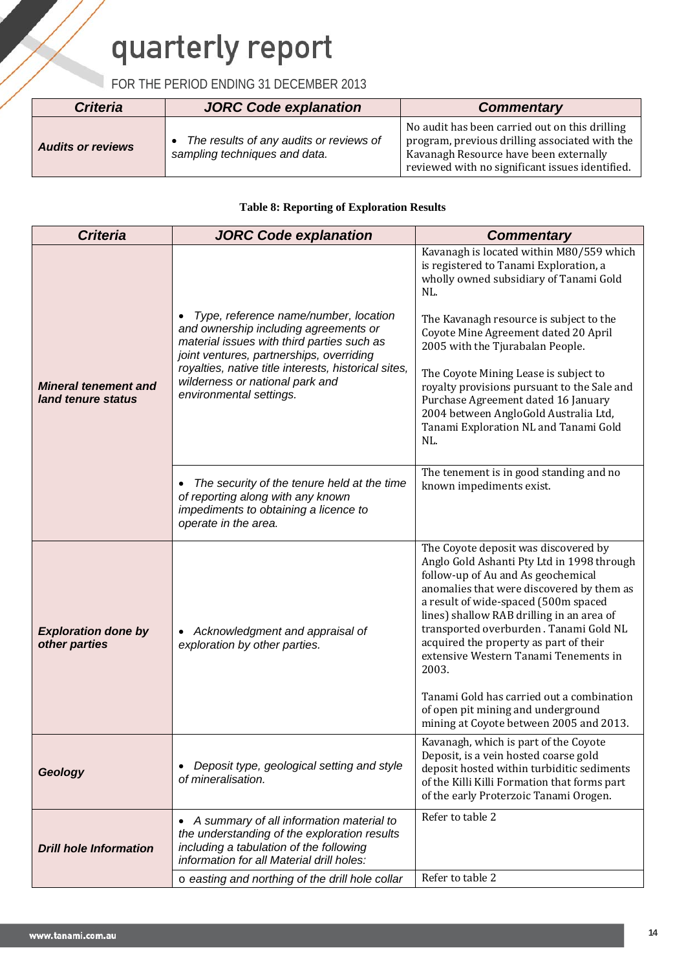## FOR THE PERIOD ENDING 31 DECEMBER 2013

| <b>Criteria</b>          | JORC Code explanation                                                    | <b>Commentary</b>                                                                                                                                                                             |
|--------------------------|--------------------------------------------------------------------------|-----------------------------------------------------------------------------------------------------------------------------------------------------------------------------------------------|
| <b>Audits or reviews</b> | The results of any audits or reviews of<br>sampling techniques and data. | No audit has been carried out on this drilling<br>program, previous drilling associated with the<br>Kavanagh Resource have been externally<br>reviewed with no significant issues identified. |

#### **Table 8: Reporting of Exploration Results**

| <b>Criteria</b>                                   | <b>JORC Code explanation</b>                                                                                                                                                     | <b>Commentary</b>                                                                                                                                                                                                                                                                                                                                                                                                                             |
|---------------------------------------------------|----------------------------------------------------------------------------------------------------------------------------------------------------------------------------------|-----------------------------------------------------------------------------------------------------------------------------------------------------------------------------------------------------------------------------------------------------------------------------------------------------------------------------------------------------------------------------------------------------------------------------------------------|
|                                                   |                                                                                                                                                                                  | Kavanagh is located within M80/559 which<br>is registered to Tanami Exploration, a<br>wholly owned subsidiary of Tanami Gold<br>NL.                                                                                                                                                                                                                                                                                                           |
|                                                   | Type, reference name/number, location<br>and ownership including agreements or<br>material issues with third parties such as<br>joint ventures, partnerships, overriding         | The Kavanagh resource is subject to the<br>Coyote Mine Agreement dated 20 April<br>2005 with the Tjurabalan People.                                                                                                                                                                                                                                                                                                                           |
| <b>Mineral tenement and</b><br>land tenure status | royalties, native title interests, historical sites,<br>wilderness or national park and<br>environmental settings.                                                               | The Coyote Mining Lease is subject to<br>royalty provisions pursuant to the Sale and<br>Purchase Agreement dated 16 January<br>2004 between AngloGold Australia Ltd,<br>Tanami Exploration NL and Tanami Gold<br>NL.                                                                                                                                                                                                                          |
|                                                   | The security of the tenure held at the time<br>of reporting along with any known<br>impediments to obtaining a licence to<br>operate in the area.                                | The tenement is in good standing and no<br>known impediments exist.                                                                                                                                                                                                                                                                                                                                                                           |
| <b>Exploration done by</b><br>other parties       | Acknowledgment and appraisal of<br>exploration by other parties.                                                                                                                 | The Coyote deposit was discovered by<br>Anglo Gold Ashanti Pty Ltd in 1998 through<br>follow-up of Au and As geochemical<br>anomalies that were discovered by them as<br>a result of wide-spaced (500m spaced<br>lines) shallow RAB drilling in an area of<br>transported overburden. Tanami Gold NL<br>acquired the property as part of their<br>extensive Western Tanami Tenements in<br>2003.<br>Tanami Gold has carried out a combination |
|                                                   |                                                                                                                                                                                  | of open pit mining and underground<br>mining at Coyote between 2005 and 2013.                                                                                                                                                                                                                                                                                                                                                                 |
| Geology                                           | Deposit type, geological setting and style<br>of mineralisation.                                                                                                                 | Kavanagh, which is part of the Coyote<br>Deposit, is a vein hosted coarse gold<br>deposit hosted within turbiditic sediments<br>of the Killi Killi Formation that forms part<br>of the early Proterzoic Tanami Orogen.                                                                                                                                                                                                                        |
| <b>Drill hole Information</b>                     | A summary of all information material to<br>the understanding of the exploration results<br>including a tabulation of the following<br>information for all Material drill holes: | Refer to table 2                                                                                                                                                                                                                                                                                                                                                                                                                              |
|                                                   | o easting and northing of the drill hole collar                                                                                                                                  | Refer to table 2                                                                                                                                                                                                                                                                                                                                                                                                                              |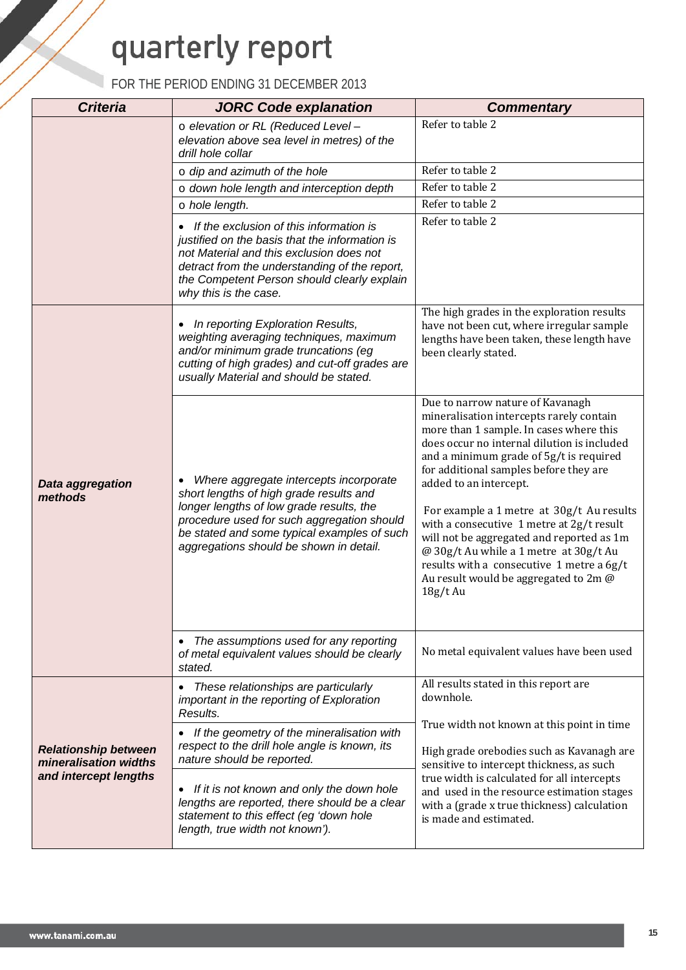| <b>Criteria</b>                                      | <b>JORC Code explanation</b>                                                                                                                                                                                                                                          | <b>Commentary</b>                                                                                                                                                                                                                                                                                                                                                                                                                                                                                                                                                        |  |
|------------------------------------------------------|-----------------------------------------------------------------------------------------------------------------------------------------------------------------------------------------------------------------------------------------------------------------------|--------------------------------------------------------------------------------------------------------------------------------------------------------------------------------------------------------------------------------------------------------------------------------------------------------------------------------------------------------------------------------------------------------------------------------------------------------------------------------------------------------------------------------------------------------------------------|--|
|                                                      | o elevation or RL (Reduced Level -<br>elevation above sea level in metres) of the<br>drill hole collar                                                                                                                                                                | Refer to table 2                                                                                                                                                                                                                                                                                                                                                                                                                                                                                                                                                         |  |
|                                                      | $\circ$ dip and azimuth of the hole                                                                                                                                                                                                                                   | Refer to table 2                                                                                                                                                                                                                                                                                                                                                                                                                                                                                                                                                         |  |
|                                                      | o down hole length and interception depth                                                                                                                                                                                                                             | Refer to table 2                                                                                                                                                                                                                                                                                                                                                                                                                                                                                                                                                         |  |
|                                                      | o hole length.                                                                                                                                                                                                                                                        | Refer to table 2                                                                                                                                                                                                                                                                                                                                                                                                                                                                                                                                                         |  |
|                                                      | If the exclusion of this information is<br>justified on the basis that the information is<br>not Material and this exclusion does not<br>detract from the understanding of the report,<br>the Competent Person should clearly explain<br>why this is the case.        | Refer to table 2                                                                                                                                                                                                                                                                                                                                                                                                                                                                                                                                                         |  |
|                                                      | • In reporting Exploration Results,<br>weighting averaging techniques, maximum<br>and/or minimum grade truncations (eg<br>cutting of high grades) and cut-off grades are<br>usually Material and should be stated.                                                    | The high grades in the exploration results<br>have not been cut, where irregular sample<br>lengths have been taken, these length have<br>been clearly stated.                                                                                                                                                                                                                                                                                                                                                                                                            |  |
| Data aggregation<br>methods                          | Where aggregate intercepts incorporate<br>short lengths of high grade results and<br>longer lengths of low grade results, the<br>procedure used for such aggregation should<br>be stated and some typical examples of such<br>aggregations should be shown in detail. | Due to narrow nature of Kavanagh<br>mineralisation intercepts rarely contain<br>more than 1 sample. In cases where this<br>does occur no internal dilution is included<br>and a minimum grade of 5g/t is required<br>for additional samples before they are<br>added to an intercept.<br>For example a 1 metre at 30g/t Au results<br>with a consecutive 1 metre at 2g/t result<br>will not be aggregated and reported as 1m<br>@ 30g/t Au while a 1 metre at 30g/t Au<br>results with a consecutive 1 metre a 6g/t<br>Au result would be aggregated to 2m @<br>18g/t Au |  |
|                                                      | The assumptions used for any reporting<br>of metal equivalent values should be clearly<br>stated.                                                                                                                                                                     | No metal equivalent values have been used                                                                                                                                                                                                                                                                                                                                                                                                                                                                                                                                |  |
|                                                      | These relationships are particularly<br>important in the reporting of Exploration<br>Results.                                                                                                                                                                         | All results stated in this report are<br>downhole.                                                                                                                                                                                                                                                                                                                                                                                                                                                                                                                       |  |
| <b>Relationship between</b><br>mineralisation widths | If the geometry of the mineralisation with<br>respect to the drill hole angle is known, its<br>nature should be reported.                                                                                                                                             | True width not known at this point in time<br>High grade orebodies such as Kavanagh are<br>sensitive to intercept thickness, as such                                                                                                                                                                                                                                                                                                                                                                                                                                     |  |
| and intercept lengths                                | If it is not known and only the down hole<br>lengths are reported, there should be a clear<br>statement to this effect (eg 'down hole<br>length, true width not known').                                                                                              | true width is calculated for all intercepts<br>and used in the resource estimation stages<br>with a (grade x true thickness) calculation<br>is made and estimated.                                                                                                                                                                                                                                                                                                                                                                                                       |  |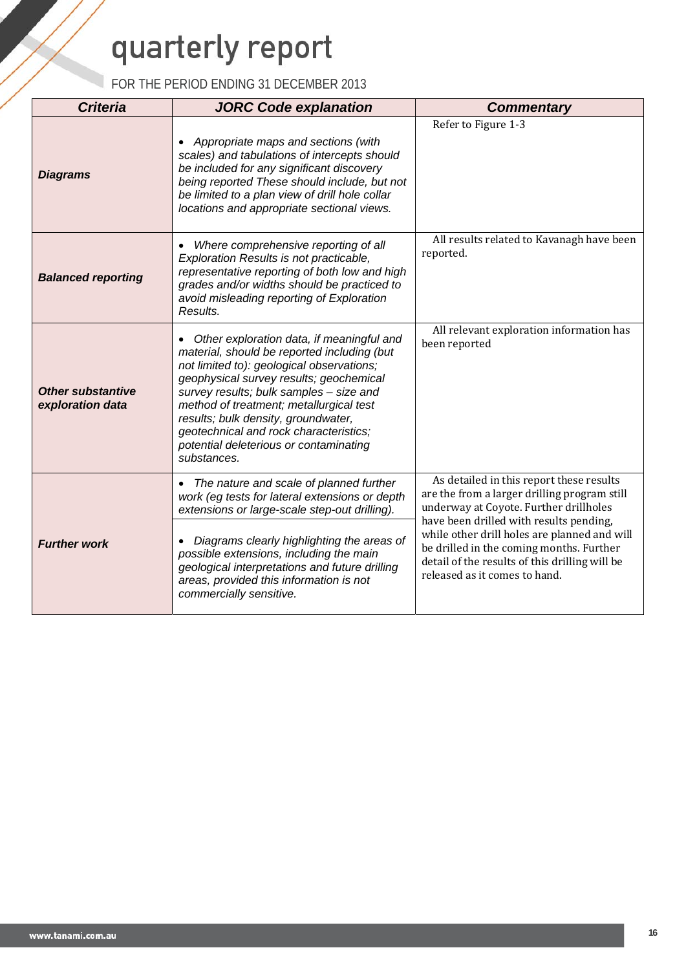| <b>Criteria</b>                              | <b>JORC Code explanation</b>                                                                                                                                                                                                                                                                                                                                                                                     | <b>Commentary</b>                                                                                                                                                             |
|----------------------------------------------|------------------------------------------------------------------------------------------------------------------------------------------------------------------------------------------------------------------------------------------------------------------------------------------------------------------------------------------------------------------------------------------------------------------|-------------------------------------------------------------------------------------------------------------------------------------------------------------------------------|
| <b>Diagrams</b>                              | Appropriate maps and sections (with<br>scales) and tabulations of intercepts should<br>be included for any significant discovery<br>being reported These should include, but not<br>be limited to a plan view of drill hole collar<br>locations and appropriate sectional views.                                                                                                                                 | Refer to Figure 1-3                                                                                                                                                           |
| <b>Balanced reporting</b>                    | Where comprehensive reporting of all<br>Exploration Results is not practicable,<br>representative reporting of both low and high<br>grades and/or widths should be practiced to<br>avoid misleading reporting of Exploration<br>Results.                                                                                                                                                                         | All results related to Kavanagh have been<br>reported.                                                                                                                        |
| <b>Other substantive</b><br>exploration data | Other exploration data, if meaningful and<br>material, should be reported including (but<br>not limited to): geological observations;<br>geophysical survey results; geochemical<br>survey results; bulk samples - size and<br>method of treatment; metallurgical test<br>results; bulk density, groundwater,<br>geotechnical and rock characteristics;<br>potential deleterious or contaminating<br>substances. | All relevant exploration information has<br>been reported                                                                                                                     |
|                                              | The nature and scale of planned further<br>work (eg tests for lateral extensions or depth<br>extensions or large-scale step-out drilling).                                                                                                                                                                                                                                                                       | As detailed in this report these results<br>are the from a larger drilling program still<br>underway at Coyote. Further drillholes<br>have been drilled with results pending, |
| <b>Further work</b>                          | Diagrams clearly highlighting the areas of<br>possible extensions, including the main<br>geological interpretations and future drilling<br>areas, provided this information is not<br>commercially sensitive.                                                                                                                                                                                                    | while other drill holes are planned and will<br>be drilled in the coming months. Further<br>detail of the results of this drilling will be<br>released as it comes to hand.   |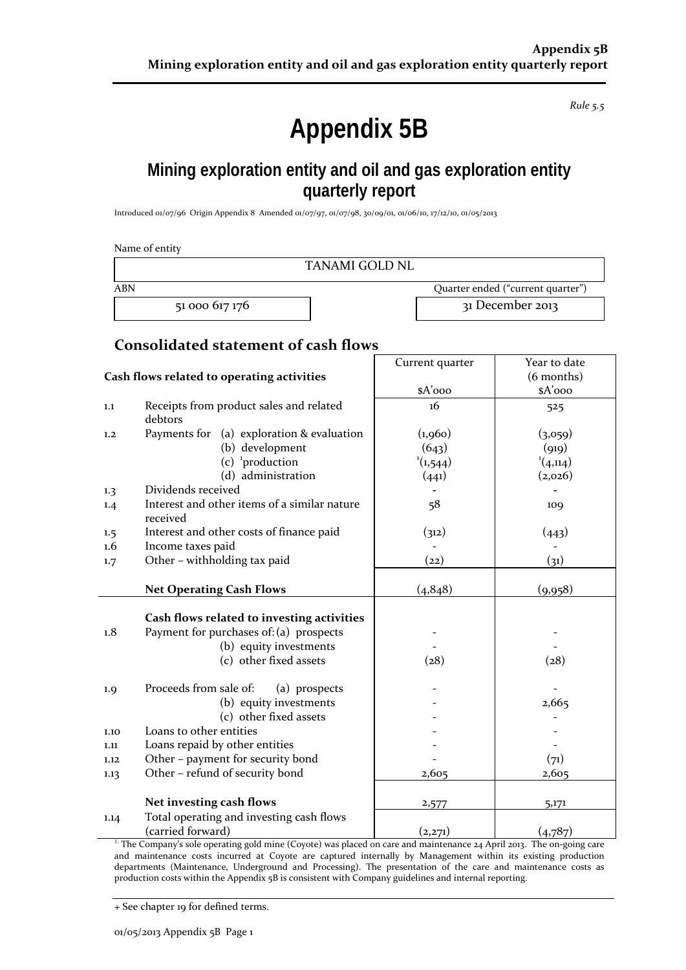*Rule 5.5*

## **Appendix 5B**

## **Mining exploration entity and oil and gas exploration entity quarterly report**

Introduced 01/07/96 Origin Appendix 8 Amended 01/07/97, 01/07/98, 30/09/01, 01/06/10, 17/12/10, 01/05/2013

|            | Name of entity<br><b>TANAMI GOLD NL</b>                  |                 |                                   |
|------------|----------------------------------------------------------|-----------------|-----------------------------------|
| <b>ABN</b> |                                                          |                 | Quarter ended ("current quarter") |
|            | 51 000 617 176                                           |                 | 31 December 2013                  |
|            | <b>Consolidated statement of cash flows</b>              |                 |                                   |
|            |                                                          | Current quarter | Year to date                      |
|            | Cash flows related to operating activities               |                 | (6 months)                        |
|            |                                                          | $A'$ ooo        | \$A'ooo                           |
| 1.1        | Receipts from product sales and related<br>debtors       | 16              | 525                               |
| 1,2        | Payments for (a) exploration & evaluation                | (1,960)         | (3,059)                           |
|            | (b) development                                          | (643)           | (919)                             |
|            | $(c)$ <sup>1</sup> production                            | (1,544)         | (4,114)                           |
|            | (d) administration                                       | (441)           | (2,026)                           |
| 1.3        | Dividends received                                       |                 |                                   |
| 1.4        | Interest and other items of a similar nature<br>received | 58              | 109                               |
| 1.5        | Interest and other costs of finance paid                 | (312)           | (443)                             |
| 1.6        | Income taxes paid                                        |                 |                                   |
| 1.7        | Other - withholding tax paid                             | (22)            | (31)                              |
|            | <b>Net Operating Cash Flows</b>                          | (4,848)         | (9,958)                           |
|            | Cash flows related to investing activities               |                 |                                   |
| 1.8        | Payment for purchases of: (a) prospects                  |                 |                                   |
|            | (b) equity investments                                   |                 |                                   |
|            | (c) other fixed assets                                   | (28)            | (28)                              |
| 1.9        | Proceeds from sale of:<br>(a) prospects                  |                 |                                   |
|            | (b) equity investments                                   |                 | 2,665                             |
|            | (c) other fixed assets                                   |                 |                                   |
| 1.10       | Loans to other entities                                  |                 |                                   |
| 1.11       | Loans repaid by other entities                           |                 |                                   |
| 1.12       | Other - payment for security bond                        |                 | (71)                              |
| 1.13       | Other - refund of security bond                          | 2,605           | 2,605                             |
|            | Net investing cash flows                                 | 2,577           | 5,171                             |
| 1.14       | Total operating and investing cash flows                 |                 |                                   |
|            | (carried forward)                                        | (2,271)         | (4,787)                           |

<sup>1.</sup> The Company's sole operating gold mine (Coyote) was placed on care and maintenance 24 April 2013. The on-going care and maintenance costs incurred at Coyote are captured internally by Management within its existing production departments (Maintenance, Underground and Processing). The presentation of the care and maintenance costs as production costs within the Appendix 5B is consistent with Company guidelines and internal reporting.

+ See chapter 19 for defined terms.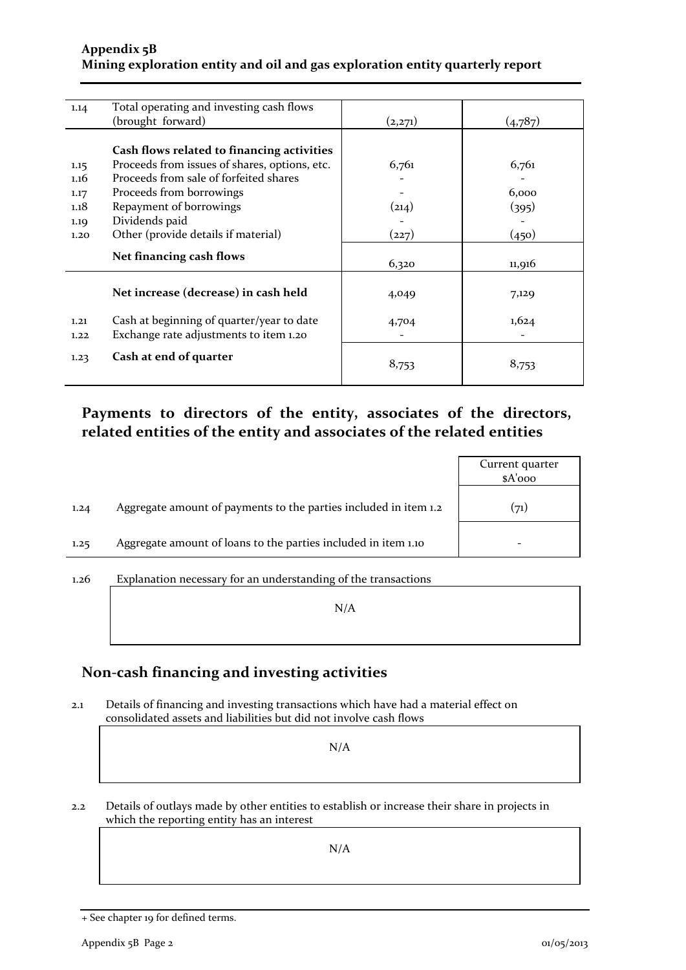### **Appendix 5B Mining exploration entity and oil and gas exploration entity quarterly report**

| 1.14 | Total operating and investing cash flows      |         |         |
|------|-----------------------------------------------|---------|---------|
|      | (brought forward)                             | (2,271) | (4,787) |
|      |                                               |         |         |
|      | Cash flows related to financing activities    |         |         |
| 1.15 | Proceeds from issues of shares, options, etc. | 6,761   | 6,761   |
| 1.16 | Proceeds from sale of forfeited shares        |         |         |
| 1.17 | Proceeds from borrowings                      |         | 6,000   |
| 1.18 | Repayment of borrowings                       | (214)   | (395)   |
| 1.19 | Dividends paid                                |         |         |
| 1.20 | Other (provide details if material)           | (227)   | (450)   |
|      |                                               |         |         |
|      | Net financing cash flows                      | 6,320   | 11,916  |
|      |                                               |         |         |
|      | Net increase (decrease) in cash held          | 4,049   | 7,129   |
|      |                                               |         |         |
| 1.21 | Cash at beginning of quarter/year to date     | 4,704   | 1,624   |
| 1.22 | Exchange rate adjustments to item 1.20        |         |         |
|      | Cash at end of quarter                        |         |         |
| 1.23 |                                               | 8,753   | 8,753   |
|      |                                               |         |         |

## **Payments to directors of the entity, associates of the directors, related entities of the entity and associates of the related entities**

|      |                                                                  | Current quarter<br>$A'$ ooo |
|------|------------------------------------------------------------------|-----------------------------|
| 1.24 | Aggregate amount of payments to the parties included in item 1.2 | (71)                        |
| 1.25 | Aggregate amount of loans to the parties included in item 1.10   |                             |
|      |                                                                  |                             |

## 1.26 Explanation necessary for an understanding of the transactions N/A

## **Non-cash financing and investing activities**

2.1 Details of financing and investing transactions which have had a material effect on consolidated assets and liabilities but did not involve cash flows

N/A

2.2 Details of outlays made by other entities to establish or increase their share in projects in which the reporting entity has an interest

N/A

<sup>+</sup> See chapter 19 for defined terms.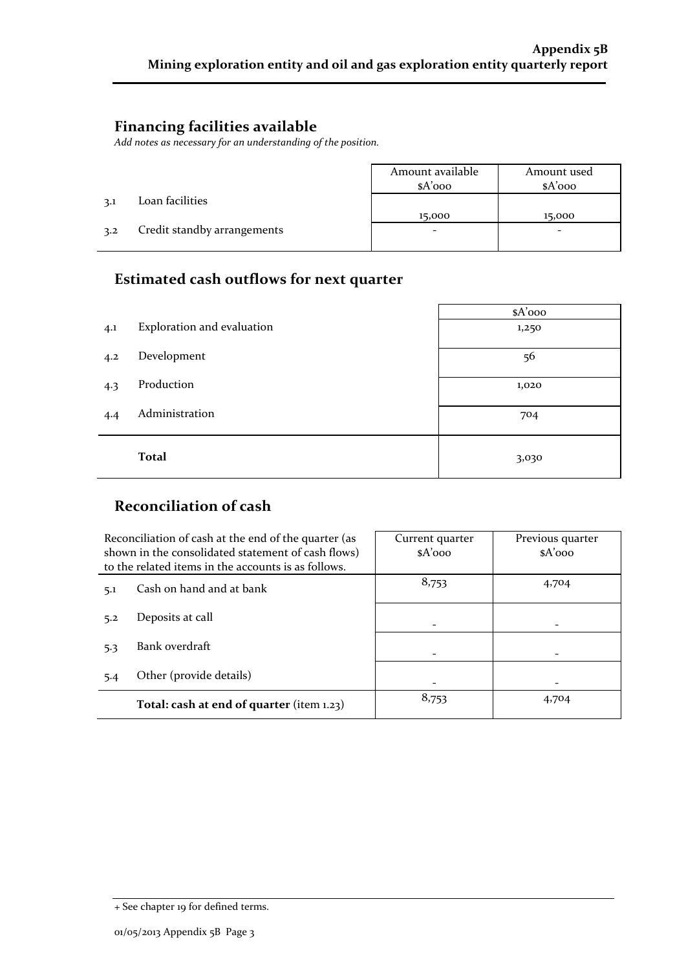## **Financing facilities available**

*Add notes as necessary for an understanding of the position.*

|     |                             | Amount available<br>$A'$ 000 | Amount used<br>$A'$ 000 |
|-----|-----------------------------|------------------------------|-------------------------|
| 3.1 | Loan facilities             |                              |                         |
|     |                             | 15,000                       | 15,000                  |
| 3.2 | Credit standby arrangements | -                            |                         |
|     |                             |                              |                         |

## **Estimated cash outflows for next quarter**

|     |                            | \$A'ooo |
|-----|----------------------------|---------|
| 4.1 | Exploration and evaluation | 1,250   |
| 4.2 | Development                | 56      |
| 4.3 | Production                 | 1,020   |
| 4.4 | Administration             | 704     |
|     | <b>Total</b>               | 3,030   |

## **Reconciliation of cash**

|     | Reconciliation of cash at the end of the quarter (as<br>shown in the consolidated statement of cash flows)<br>to the related items in the accounts is as follows. | Current quarter<br>$A'$ 000 | Previous quarter<br>$A'$ 000 |
|-----|-------------------------------------------------------------------------------------------------------------------------------------------------------------------|-----------------------------|------------------------------|
| 5.1 | Cash on hand and at bank                                                                                                                                          | 8,753                       | 4,704                        |
| 5.2 | Deposits at call                                                                                                                                                  |                             |                              |
| 5.3 | Bank overdraft                                                                                                                                                    |                             |                              |
| 5.4 | Other (provide details)                                                                                                                                           |                             |                              |
|     | Total: cash at end of quarter (item 1.23)                                                                                                                         | 8,753                       | 4,704                        |

<sup>+</sup> See chapter 19 for defined terms.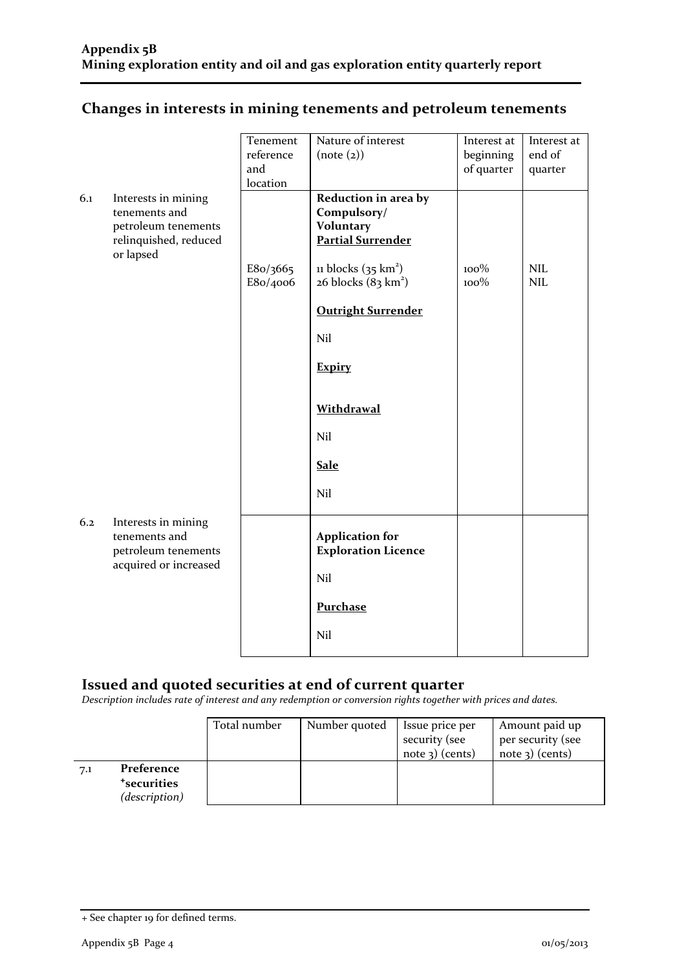## **Changes in interests in mining tenements and petroleum tenements**

|     |                                                                                                   | Tenement<br>reference<br>and<br>location | Nature of interest<br>(note (2))                                                                                                                                                     | Interest at<br>beginning<br>of quarter | Interest at<br>end of<br>quarter |
|-----|---------------------------------------------------------------------------------------------------|------------------------------------------|--------------------------------------------------------------------------------------------------------------------------------------------------------------------------------------|----------------------------------------|----------------------------------|
| 6.1 | Interests in mining<br>tenements and<br>petroleum tenements<br>relinquished, reduced<br>or lapsed | E8o/3665<br>E8o/4006                     | Reduction in area by<br>Compulsory/<br><b>Voluntary</b><br><b>Partial Surrender</b><br>11 blocks $(35 \text{ km}^2)$<br>$26$ blocks $(83 \text{ km}^2)$<br><b>Outright Surrender</b> | 100%<br>100%                           | NIL<br><b>NIL</b>                |
|     |                                                                                                   |                                          | Nil<br><b>Expiry</b><br>Withdrawal<br>Nil<br><b>Sale</b><br>Nil                                                                                                                      |                                        |                                  |
| 6.2 | Interests in mining<br>tenements and<br>petroleum tenements<br>acquired or increased              |                                          | <b>Application for</b><br><b>Exploration Licence</b><br>Nil<br>Purchase<br>Nil                                                                                                       |                                        |                                  |

## **Issued and quoted securities at end of current quarter**

*Description includes rate of interest and any redemption or conversion rights together with prices and dates.*

|     |                                                                 | Total number | Number quoted | Issue price per<br>security (see<br>note $3)$ (cents) | Amount paid up<br>per security (see<br>$note$ 3) (cents) |
|-----|-----------------------------------------------------------------|--------------|---------------|-------------------------------------------------------|----------------------------------------------------------|
| 7.1 | Preference<br><i><b>*securities</b></i><br><i>(description)</i> |              |               |                                                       |                                                          |

<sup>+</sup> See chapter 19 for defined terms.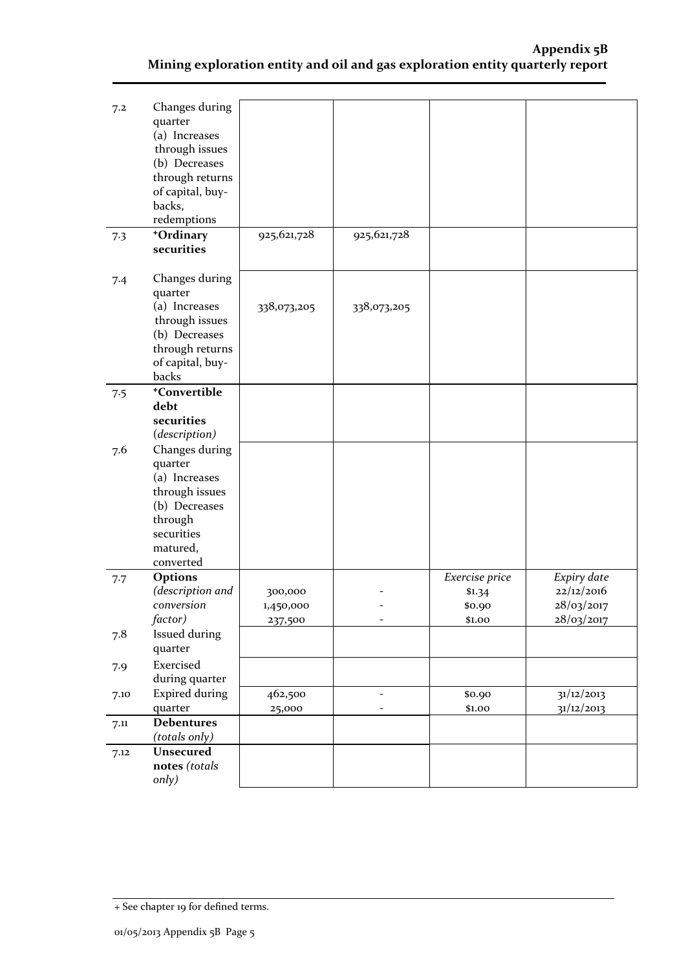| 7.2  | Changes during<br>quarter<br>(a) Increases<br>through issues<br>(b) Decreases<br>through returns<br>of capital, buy-            |                                 |                   |                                              |                                                       |
|------|---------------------------------------------------------------------------------------------------------------------------------|---------------------------------|-------------------|----------------------------------------------|-------------------------------------------------------|
|      | backs,<br>redemptions                                                                                                           |                                 |                   |                                              |                                                       |
| 7.3  | +Ordinary<br>securities                                                                                                         | 925,621,728                     | 925,621,728       |                                              |                                                       |
| 7.4  | Changes during<br>quarter<br>(a) Increases<br>through issues<br>(b) Decreases<br>through returns<br>of capital, buy-<br>backs   | 338,073,205                     | 338,073,205       |                                              |                                                       |
| 7.5  | +Convertible<br>debt<br>securities<br>(description)                                                                             |                                 |                   |                                              |                                                       |
| 7.6  | Changes during<br>quarter<br>(a) Increases<br>through issues<br>(b) Decreases<br>through<br>securities<br>matured,<br>converted |                                 |                   |                                              |                                                       |
| 7.7  | Options<br>(description and<br>conversion<br>factor)                                                                            | 300,000<br>1,450,000<br>237,500 |                   | Exercise price<br>\$1.34<br>\$0.90<br>\$1.00 | Expiry date<br>22/12/2016<br>28/03/2017<br>28/03/2017 |
| 7.8  | <b>Issued during</b><br>quarter                                                                                                 |                                 |                   |                                              |                                                       |
| 7.9  | Exercised<br>during quarter                                                                                                     |                                 |                   |                                              |                                                       |
| 7.10 | <b>Expired during</b><br>quarter                                                                                                | 462,500<br>25,000               | $\qquad \qquad -$ | \$0.90<br>$$1.00$                            | 31/12/2013<br>31/12/2013                              |
| 7.11 | <b>Debentures</b><br>(totals only)                                                                                              |                                 |                   |                                              |                                                       |
| 7.12 | Unsecured<br>notes (totals<br>only)                                                                                             |                                 |                   |                                              |                                                       |

<sup>+</sup> See chapter 19 for defined terms.